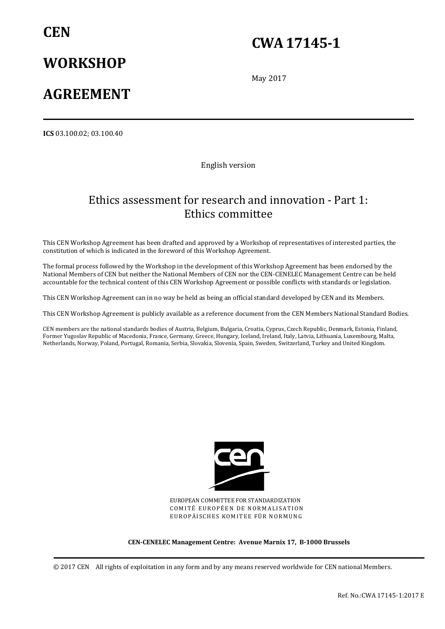# **CEN**

# **CWA 17145-1**

# **WORKSHOP**

# **AGREEMENT**

May 2017

**ICS** 03.100.02; 03.100.40

English version

## Ethics assessment for research and innovation - Part 1: Ethics committee

This CEN Workshop Agreement has been drafted and approved by a Workshop of representatives of interested parties, the constitution of which is indicated in the foreword of this Workshop Agreement.

The formal process followed by the Workshop in the development of this Workshop Agreement has been endorsed by the National Members of CEN but neither the National Members of CEN nor the CEN-CENELEC Management Centre can be held accountable for the technical content of this CEN Workshop Agreement or possible conflicts with standards or legislation.

This CEN Workshop Agreement can in no way be held as being an official standard developed by CEN and its Members.

This CEN Workshop Agreement is publicly available as a reference document from the CEN Members National Standard Bodies.

CEN members are the national standards bodies of Austria, Belgium, Bulgaria, Croatia, Cyprus, Czech Republic, Denmark, Estonia, Finland, Former Yugoslav Republic of Macedonia, France, Germany, Greece, Hungary, Iceland, Ireland, Italy, Latvia, Lithuania, Luxembourg, Malta, Netherlands, Norway, Poland, Portugal, Romania, Serbia, Slovakia, Slovenia, Spain, Sweden, Switzerland, Turkey and United Kingdom.



EUROPEAN COMMITTEE FOR STANDARDIZATION COMITÉ EUROPÉEN DE NORMALISATION EUROPÄISCHES KOMITEE FÜR NORMUNG

#### **CEN-CENELEC Management Centre: Avenue Marnix 17, B-1000 Brussels**

© 2017 CEN All rights of exploitation in any form and by any means reserved worldwide for CEN national Members.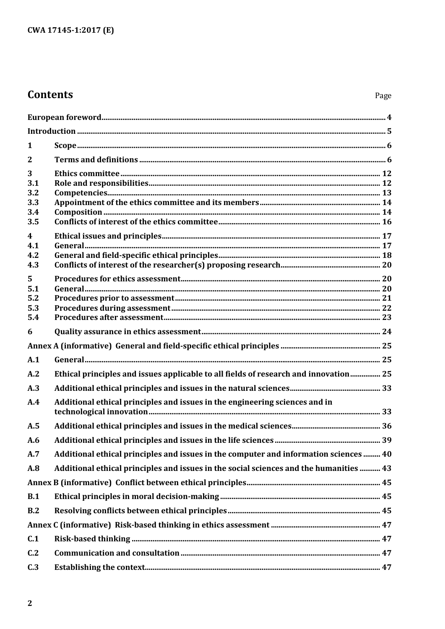## **Contents**

| 1                                          |                                                                                        |  |
|--------------------------------------------|----------------------------------------------------------------------------------------|--|
| $\overline{2}$                             |                                                                                        |  |
| 3<br>3.1<br>3.2<br>3.3<br>3.4<br>3.5       |                                                                                        |  |
| 4<br>4.1<br>4.2<br>4.3                     |                                                                                        |  |
| 5 <sup>5</sup><br>5.1<br>5.2<br>5.3<br>5.4 |                                                                                        |  |
| 6                                          |                                                                                        |  |
|                                            |                                                                                        |  |
| A.1                                        |                                                                                        |  |
| A.2                                        | Ethical principles and issues applicable to all fields of research and innovation 25   |  |
| A.3                                        |                                                                                        |  |
| A.4                                        | Additional ethical principles and issues in the engineering sciences and in            |  |
| A.5                                        |                                                                                        |  |
| A.6                                        |                                                                                        |  |
| A.7                                        | Additional ethical principles and issues in the computer and information sciences  40  |  |
| A.8                                        | Additional ethical principles and issues in the social sciences and the humanities  43 |  |
|                                            |                                                                                        |  |
| B.1                                        |                                                                                        |  |
| B.2                                        |                                                                                        |  |
|                                            |                                                                                        |  |
| C.1                                        |                                                                                        |  |
| C.2                                        |                                                                                        |  |
| C.3                                        |                                                                                        |  |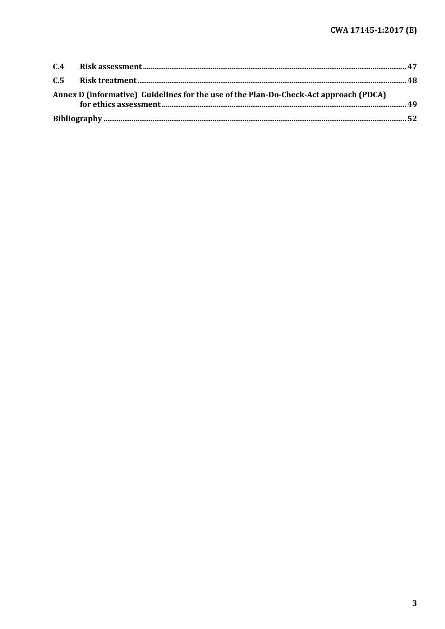| Annex D (informative) Guidelines for the use of the Plan-Do-Check-Act approach (PDCA) |  |
|---------------------------------------------------------------------------------------|--|
|                                                                                       |  |
|                                                                                       |  |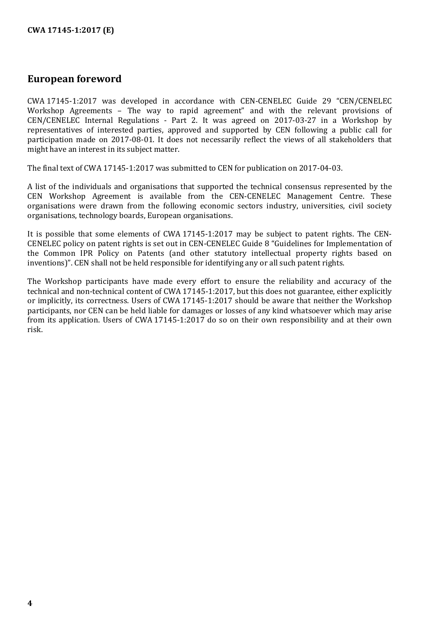## <span id="page-3-0"></span>**European foreword**

CWA 17145-1:2017 was developed in accordance with CEN-CENELEC Guide 29 "CEN/CENELEC Workshop Agreements – The way to rapid agreement" and with the relevant provisions of CEN/CENELEC Internal Regulations - Part 2. It was agreed on 2017-03-27 in a Workshop by representatives of interested parties, approved and supported by CEN following a public call for participation made on 2017-08-01. It does not necessarily reflect the views of all stakeholders that might have an interest in its subject matter.

The final text of CWA 17145-1:2017 was submitted to CEN for publication on 2017-04-03.

A list of the individuals and organisations that supported the technical consensus represented by the CEN Workshop Agreement is available from the CEN-CENELEC Management Centre. These organisations were drawn from the following economic sectors industry, universities, civil society organisations, technology boards, European organisations.

It is possible that some elements of CWA 17145-1:2017 may be subject to patent rights. The CEN-CENELEC policy on patent rights is set out in CEN-CENELEC Guide 8 "Guidelines for Implementation of the Common IPR Policy on Patents (and other statutory intellectual property rights based on inventions)". CEN shall not be held responsible for identifying any or all such patent rights.

The Workshop participants have made every effort to ensure the reliability and accuracy of the technical and non-technical content of CWA 17145-1:2017, but this does not guarantee, either explicitly or implicitly, its correctness. Users of CWA 17145-1:2017 should be aware that neither the Workshop participants, nor CEN can be held liable for damages or losses of any kind whatsoever which may arise from its application. Users of CWA 17145-1:2017 do so on their own responsibility and at their own risk.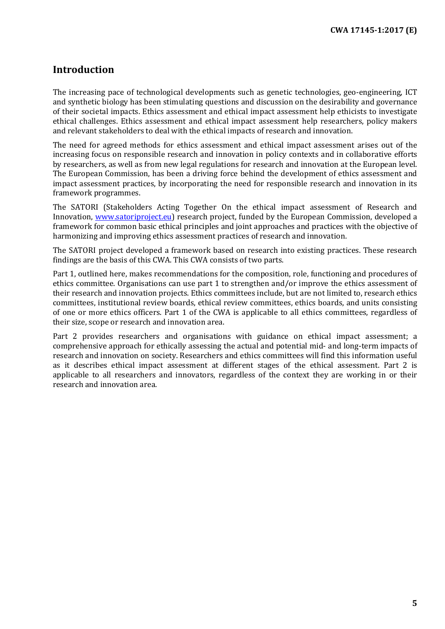## <span id="page-4-0"></span>**Introduction**

The increasing pace of technological developments such as genetic technologies, geo-engineering, ICT and synthetic biology has been stimulating questions and discussion on the desirability and governance of their societal impacts. Ethics assessment and ethical impact assessment help ethicists to investigate ethical challenges. Ethics assessment and ethical impact assessment help researchers, policy makers and relevant stakeholders to deal with the ethical impacts of research and innovation.

The need for agreed methods for ethics assessment and ethical impact assessment arises out of the increasing focus on responsible research and innovation in policy contexts and in collaborative efforts by researchers, as well as from new legal regulations for research and innovation at the European level. The European Commission, has been a driving force behind the development of ethics assessment and impact assessment practices, by incorporating the need for responsible research and innovation in its framework programmes.

The SATORI (Stakeholders Acting Together On the ethical impact assessment of Research and Innovation, [www.satoriproject.eu\)](http://www.satoriproject.eu/) research project, funded by the European Commission, developed a framework for common basic ethical principles and joint approaches and practices with the objective of harmonizing and improving ethics assessment practices of research and innovation.

The SATORI project developed a framework based on research into existing practices. These research findings are the basis of this CWA. This CWA consists of two parts.

Part 1, outlined here, makes recommendations for the composition, role, functioning and procedures of ethics committee. Organisations can use part 1 to strengthen and/or improve the ethics assessment of their research and innovation projects. Ethics committees include, but are not limited to, research ethics committees, institutional review boards, ethical review committees, ethics boards, and units consisting of one or more ethics officers. Part 1 of the CWA is applicable to all ethics committees, regardless of their size, scope or research and innovation area.

Part 2 provides researchers and organisations with guidance on ethical impact assessment; a comprehensive approach for ethically assessing the actual and potential mid- and long-term impacts of research and innovation on society. Researchers and ethics committees will find this information useful as it describes ethical impact assessment at different stages of the ethical assessment. Part 2 is applicable to all researchers and innovators, regardless of the context they are working in or their research and innovation area.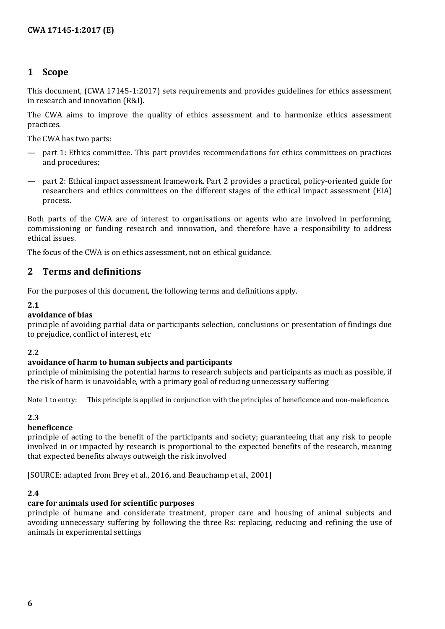## <span id="page-5-0"></span>**1 Scope**

This document, (CWA 17145-1:2017) sets requirements and provides guidelines for ethics assessment in research and innovation (R&I).

The CWA aims to improve the quality of ethics assessment and to harmonize ethics assessment practices.

The CWA has two parts:

- part 1: Ethics committee. This part provides recommendations for ethics committees on practices and procedures;
- part 2: Ethical impact assessment framework. Part 2 provides a practical, policy-oriented guide for researchers and ethics committees on the different stages of the ethical impact assessment (EIA) process.

Both parts of the CWA are of interest to organisations or agents who are involved in performing, commissioning or funding research and innovation, and therefore have a responsibility to address ethical issues.

The focus of the CWA is on ethics assessment, not on ethical guidance.

## <span id="page-5-1"></span>**2 Terms and definitions**

For the purposes of this document, the following terms and definitions apply.

#### **2.1**

#### **avoidance of bias**

principle of avoiding partial data or participants selection, conclusions or presentation of findings due to prejudice, conflict of interest, etc

#### **2.2**

#### **avoidance of harm to human subjects and participants**

principle of minimising the potential harms to research subjects and participants as much as possible, if the risk of harm is unavoidable, with a primary goal of reducing unnecessary suffering

Note 1 to entry: This principle is applied in conjunction with the principles of beneficence and non-maleficence.

#### **2.3**

#### **beneficence**

principle of acting to the benefit of the participants and society; guaranteeing that any risk to people involved in or impacted by research is proportional to the expected benefits of the research, meaning that expected benefits always outweigh the risk involved

[SOURCE: adapted from Brey et al., 2016, and Beauchamp et al., 2001]

#### **2.4**

#### **care for animals used for scientific purposes**

principle of humane and considerate treatment, proper care and housing of animal subjects and avoiding unnecessary suffering by following the three Rs: replacing, reducing and refining the use of animals in experimental settings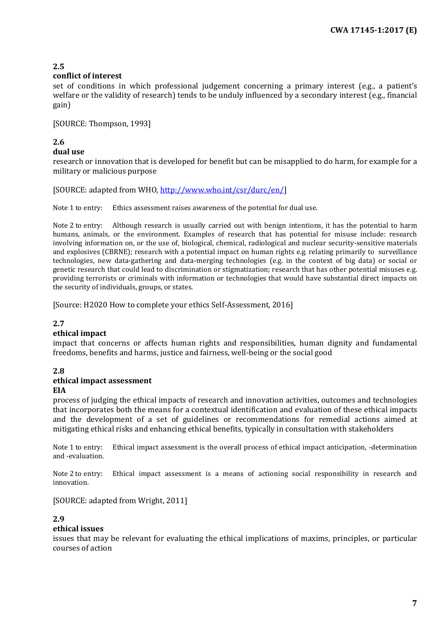#### **conflict of interest**

set of conditions in which professional judgement concerning a primary interest (e.g., a patient's welfare or the validity of research) tends to be unduly influenced by a secondary interest (e.g., financial gain)

[SOURCE: Thompson, 1993]

#### **2.6 dual use**

research or innovation that is developed for benefit but can be misapplied to do harm, for example for a military or malicious purpose

[SOURCE: adapted from WHO[, http://www.who.int/csr/durc/en/\]](http://www.who.int/csr/durc/en/)

Note 1 to entry: Ethics assessment raises awareness of the potential for dual use.

Note 2 to entry: Although research is usually carried out with benign intentions, it has the potential to harm humans, animals, or the environment. Examples of research that has potential for misuse include: research involving information on, or the use of, biological, chemical, radiological and nuclear security-sensitive materials and explosives (CBRNE); research with a potential impact on human rights e.g. relating primarily to surveillance technologies, new data-gathering and data-merging technologies (e.g. in the context of big data) or social or genetic research that could lead to discrimination or stigmatization; research that has other potential misuses e.g. providing terrorists or criminals with information or technologies that would have substantial direct impacts on the security of individuals, groups, or states.

[Source: H2020 How to complete your ethics Self-Assessment, 2016]

#### **2.7**

#### **ethical impact**

impact that concerns or affects human rights and responsibilities, human dignity and fundamental freedoms, benefits and harms, justice and fairness, well-being or the social good

#### **2.8**

## **ethical impact assessment**

#### **EIA**

process of judging the ethical impacts of research and innovation activities, outcomes and technologies that incorporates both the means for a contextual identification and evaluation of these ethical impacts and the development of a set of guidelines or recommendations for remedial actions aimed at mitigating ethical risks and enhancing ethical benefits, typically in consultation with stakeholders

Note 1 to entry: Ethical impact assessment is the overall process of ethical impact anticipation, -determination and -evaluation.

Note 2 to entry: Ethical impact assessment is a means of actioning social responsibility in research and innovation.

[SOURCE: adapted from Wright, 2011]

#### **2.9**

#### **ethical issues**

issues that may be relevant for evaluating the ethical implications of maxims, principles, or particular courses of action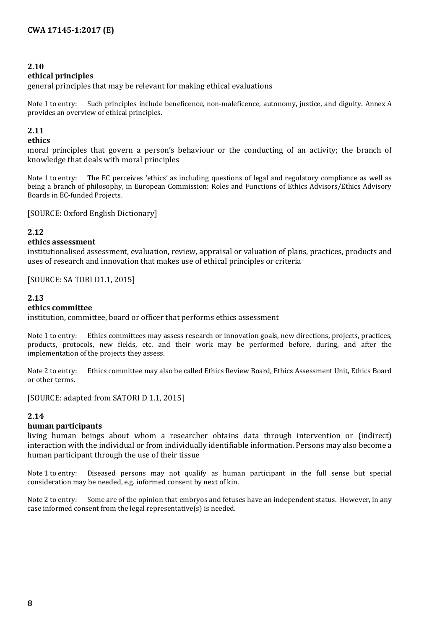#### **ethical principles**

general principles that may be relevant for making ethical evaluations

Note 1 to entry: Such principles include beneficence, non-maleficence, autonomy, justice, and dignity. Annex A provides an overview of ethical principles.

#### **2.11**

#### **ethics**

moral principles that govern a person's behaviour or the conducting of an activity; the branch of knowledge that deals with moral principles

Note 1 to entry: The EC perceives 'ethics' as including questions of legal and regulatory compliance as well as being a branch of philosophy, in European Commission: Roles and Functions of Ethics Advisors/Ethics Advisory Boards in EC-funded Projects.

[SOURCE: Oxford English Dictionary]

#### **2.12**

#### **ethics assessment**

institutionalised assessment, evaluation, review, appraisal or valuation of plans, practices, products and uses of research and innovation that makes use of ethical principles or criteria

[SOURCE: SA TORI D1.1, 2015]

#### **2.13**

#### **ethics committee**

institution, committee, board or officer that performs ethics assessment

Note 1 to entry: Ethics committees may assess research or innovation goals, new directions, projects, practices, products, protocols, new fields, etc. and their work may be performed before, during, and after the implementation of the projects they assess.

Note 2 to entry: Ethics committee may also be called Ethics Review Board, Ethics Assessment Unit, Ethics Board or other terms.

[SOURCE: adapted from SATORI D 1.1, 2015]

#### **2.14**

#### **human participants**

living human beings about whom a researcher obtains data through intervention or (indirect) interaction with the individual or from individually identifiable information. Persons may also become a human participant through the use of their tissue

Note 1 to entry: Diseased persons may not qualify as human participant in the full sense but special consideration may be needed, e.g. informed consent by next of kin.

Note 2 to entry: Some are of the opinion that embryos and fetuses have an independent status. However, in any case informed consent from the legal representative(s) is needed.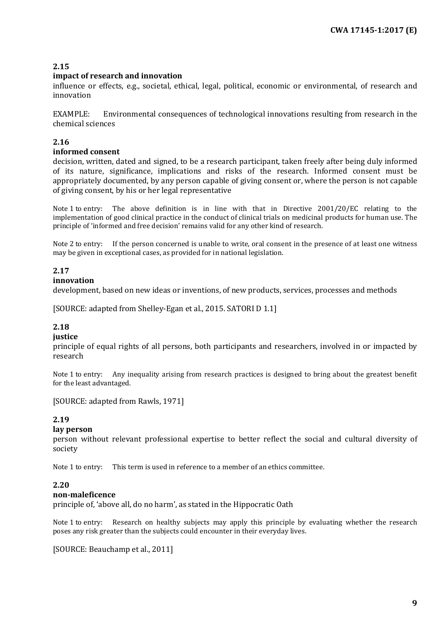#### **impact of research and innovation**

influence or effects, e.g., societal, ethical, legal, political, economic or environmental, of research and innovation

EXAMPLE: Environmental consequences of technological innovations resulting from research in the chemical sciences

## **2.16**

#### **informed consent**

decision, written, dated and signed, to be a research participant, taken freely after being duly informed of its nature, significance, implications and risks of the research. Informed consent must be appropriately documented, by any person capable of giving consent or, where the person is not capable of giving consent, by his or her legal representative

Note 1 to entry: The above definition is in line with that in Directive 2001/20/EC relating to the implementation of good clinical practice in the conduct of clinical trials on medicinal products for human use. The principle of 'informed and free decision' remains valid for any other kind of research.

Note 2 to entry: If the person concerned is unable to write, oral consent in the presence of at least one witness may be given in exceptional cases, as provided for in national legislation.

### **2.17**

#### **innovation**

development, based on new ideas or inventions, of new products, services, processes and methods

[SOURCE: adapted from Shelley-Egan et al., 2015. SATORI D 1.1]

## **2.18**

#### **justice**

principle of equal rights of all persons, both participants and researchers, involved in or impacted by research

Note 1 to entry: Any inequality arising from research practices is designed to bring about the greatest benefit for the least advantaged.

[SOURCE: adapted from Rawls, 1971]

## **2.19**

#### **lay person**

person without relevant professional expertise to better reflect the social and cultural diversity of society

Note 1 to entry: This term is used in reference to a member of an ethics committee.

#### **2.20**

#### **non-maleficence**

principle of, 'above all, do no harm', as stated in the Hippocratic Oath

Note 1 to entry: Research on healthy subjects may apply this principle by evaluating whether the research poses any risk greater than the subjects could encounter in their everyday lives.

[SOURCE: Beauchamp et al., 2011]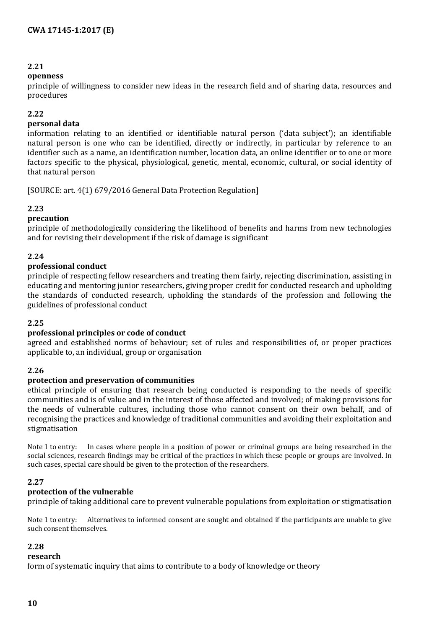#### **openness**

principle of willingness to consider new ideas in the research field and of sharing data, resources and procedures

#### **2.22**

#### **personal data**

information relating to an identified or identifiable natural person ('data subject'); an identifiable natural person is one who can be identified, directly or indirectly, in particular by reference to an identifier such as a name, an identification number, location data, an online identifier or to one or more factors specific to the physical, physiological, genetic, mental, economic, cultural, or social identity of that natural person

[SOURCE: art. 4(1) 679/2016 General Data Protection Regulation]

#### **2.23**

#### **precaution**

principle of methodologically considering the likelihood of benefits and harms from new technologies and for revising their development if the risk of damage is significant

#### **2.24**

#### **professional conduct**

principle of respecting fellow researchers and treating them fairly, rejecting discrimination, assisting in educating and mentoring junior researchers, giving proper credit for conducted research and upholding the standards of conducted research, upholding the standards of the profession and following the guidelines of professional conduct

#### **2.25**

#### **professional principles or code of conduct**

agreed and established norms of behaviour; set of rules and responsibilities of, or proper practices applicable to, an individual, group or organisation

#### **2.26**

#### **protection and preservation of communities**

ethical principle of ensuring that research being conducted is responding to the needs of specific communities and is of value and in the interest of those affected and involved; of making provisions for the needs of vulnerable cultures, including those who cannot consent on their own behalf, and of recognising the practices and knowledge of traditional communities and avoiding their exploitation and stigmatisation

Note 1 to entry: In cases where people in a position of power or criminal groups are being researched in the social sciences, research findings may be critical of the practices in which these people or groups are involved. In such cases, special care should be given to the protection of the researchers.

#### **2.27**

#### **protection of the vulnerable**

principle of taking additional care to prevent vulnerable populations from exploitation or stigmatisation

Note 1 to entry: Alternatives to informed consent are sought and obtained if the participants are unable to give such consent themselves.

#### **2.28**

#### **research**

form of systematic inquiry that aims to contribute to a body of knowledge or theory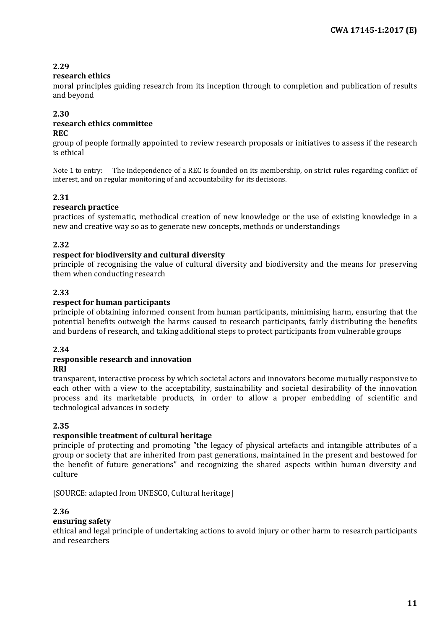#### **research ethics**

moral principles guiding research from its inception through to completion and publication of results and beyond

#### **2.30 research ethics committee**

#### **REC**

group of people formally appointed to review research proposals or initiatives to assess if the research is ethical

Note 1 to entry: The independence of a REC is founded on its membership, on strict rules regarding conflict of interest, and on regular monitoring of and accountability for its decisions.

#### **2.31**

#### **research practice**

practices of systematic, methodical creation of new knowledge or the use of existing knowledge in a new and creative way so as to generate new concepts, methods or understandings

#### **2.32**

#### **respect for biodiversity and cultural diversity**

principle of recognising the value of cultural diversity and biodiversity and the means for preserving them when conducting research

#### **2.33**

#### **respect for human participants**

principle of obtaining informed consent from human participants, minimising harm, ensuring that the potential benefits outweigh the harms caused to research participants, fairly distributing the benefits and burdens of research, and taking additional steps to protect participants from vulnerable groups

#### **2.34**

## **responsible research and innovation**

#### **RRI**

transparent, interactive process by which societal actors and innovators become mutually responsive to each other with a view to the acceptability, sustainability and societal desirability of the innovation process and its marketable products, in order to allow a proper embedding of scientific and technological advances in society

#### **2.35**

#### **responsible treatment of cultural heritage**

principle of protecting and promoting "the legacy of physical artefacts and intangible attributes of a group or society that are inherited from past generations, maintained in the present and bestowed for the benefit of future generations" and recognizing the shared aspects within human diversity and culture

[SOURCE: adapted from UNESCO, Cultural heritage]

#### **2.36**

#### **ensuring safety**

ethical and legal principle of undertaking actions to avoid injury or other harm to research participants and researchers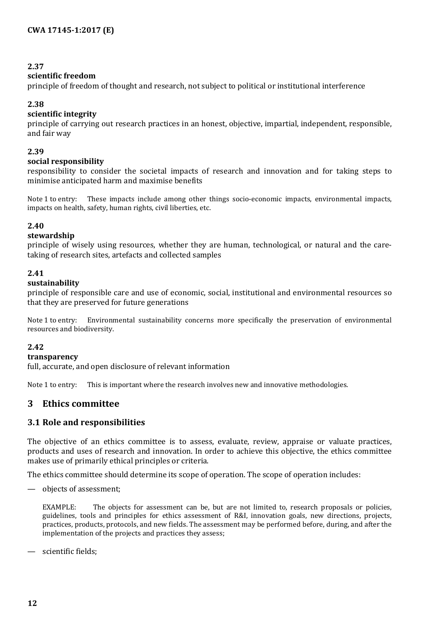#### **scientific freedom**

principle of freedom of thought and research, not subject to political or institutional interference

#### **2.38**

#### **scientific integrity**

principle of carrying out research practices in an honest, objective, impartial, independent, responsible, and fair way

#### **2.39**

#### **social responsibility**

responsibility to consider the societal impacts of research and innovation and for taking steps to minimise anticipated harm and maximise benefits

Note 1 to entry: These impacts include among other things socio-economic impacts, environmental impacts, impacts on health, safety, human rights, civil liberties, etc.

#### **2.40**

#### **stewardship**

principle of wisely using resources, whether they are human, technological, or natural and the caretaking of research sites, artefacts and collected samples

#### **2.41**

#### **sustainability**

principle of responsible care and use of economic, social, institutional and environmental resources so that they are preserved for future generations

Note 1 to entry: Environmental sustainability concerns more specifically the preservation of environmental resources and biodiversity.

#### **2.42**

#### **transparency**

full, accurate, and open disclosure of relevant information

Note 1 to entry: This is important where the research involves new and innovative methodologies.

## <span id="page-11-0"></span>**3 Ethics committee**

#### <span id="page-11-1"></span>**3.1 Role and responsibilities**

The objective of an ethics committee is to assess, evaluate, review, appraise or valuate practices, products and uses of research and innovation. In order to achieve this objective, the ethics committee makes use of primarily ethical principles or criteria.

The ethics committee should determine its scope of operation. The scope of operation includes:

— objects of assessment;

EXAMPLE: The objects for assessment can be, but are not limited to, research proposals or policies, guidelines, tools and principles for ethics assessment of R&I, innovation goals, new directions, projects, practices, products, protocols, and new fields. The assessment may be performed before, during, and after the implementation of the projects and practices they assess;

— scientific fields;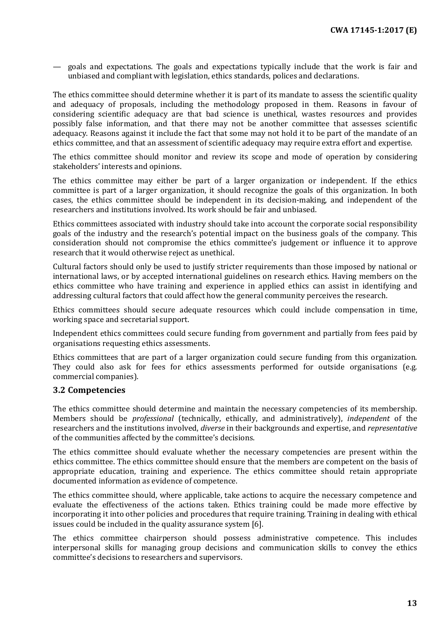— goals and expectations. The goals and expectations typically include that the work is fair and unbiased and compliant with legislation, ethics standards, polices and declarations.

The ethics committee should determine whether it is part of its mandate to assess the scientific quality and adequacy of proposals, including the methodology proposed in them. Reasons in favour of considering scientific adequacy are that bad science is unethical, wastes resources and provides possibly false information, and that there may not be another committee that assesses scientific adequacy. Reasons against it include the fact that some may not hold it to be part of the mandate of an ethics committee, and that an assessment of scientific adequacy may require extra effort and expertise.

The ethics committee should monitor and review its scope and mode of operation by considering stakeholders' interests and opinions.

The ethics committee may either be part of a larger organization or independent. If the ethics committee is part of a larger organization, it should recognize the goals of this organization. In both cases, the ethics committee should be independent in its decision-making, and independent of the researchers and institutions involved. Its work should be fair and unbiased.

Ethics committees associated with industry should take into account the corporate social responsibility goals of the industry and the research's potential impact on the business goals of the company. This consideration should not compromise the ethics committee's judgement or influence it to approve research that it would otherwise reject as unethical.

Cultural factors should only be used to justify stricter requirements than those imposed by national or international laws, or by accepted international guidelines on research ethics. Having members on the ethics committee who have training and experience in applied ethics can assist in identifying and addressing cultural factors that could affect how the general community perceives the research.

Ethics committees should secure adequate resources which could include compensation in time, working space and secretarial support.

Independent ethics committees could secure funding from government and partially from fees paid by organisations requesting ethics assessments.

Ethics committees that are part of a larger organization could secure funding from this organization. They could also ask for fees for ethics assessments performed for outside organisations (e.g. commercial companies).

#### <span id="page-12-0"></span>**3.2 Competencies**

The ethics committee should determine and maintain the necessary competencies of its membership. Members should be *professional* (technically, ethically, and administratively), *independent* of the researchers and the institutions involved, *diverse* in their backgrounds and expertise, and *representative* of the communities affected by the committee's decisions.

The ethics committee should evaluate whether the necessary competencies are present within the ethics committee. The ethics committee should ensure that the members are competent on the basis of appropriate education, training and experience. The ethics committee should retain appropriate documented information as evidence of competence.

The ethics committee should, where applicable, take actions to acquire the necessary competence and evaluate the effectiveness of the actions taken. Ethics training could be made more effective by incorporating it into other policies and procedures that require training. Training in dealing with ethical issues could be included in the quality assurance system [6].

The ethics committee chairperson should possess administrative competence. This includes interpersonal skills for managing group decisions and communication skills to convey the ethics committee's decisions to researchers and supervisors.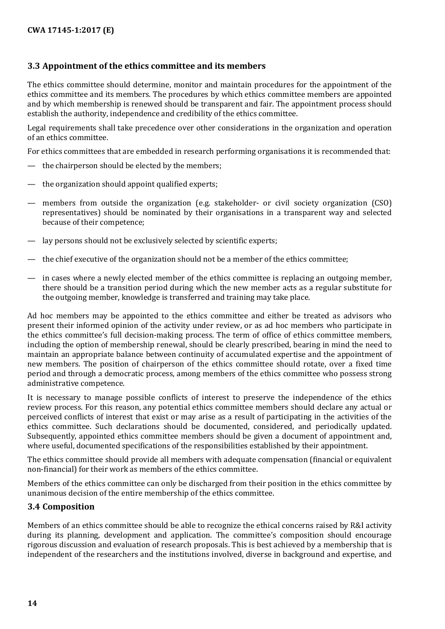## <span id="page-13-0"></span>**3.3 Appointment of the ethics committee and its members**

The ethics committee should determine, monitor and maintain procedures for the appointment of the ethics committee and its members. The procedures by which ethics committee members are appointed and by which membership is renewed should be transparent and fair. The appointment process should establish the authority, independence and credibility of the ethics committee.

Legal requirements shall take precedence over other considerations in the organization and operation of an ethics committee.

For ethics committees that are embedded in research performing organisations it is recommended that:

- the chairperson should be elected by the members;
- the organization should appoint qualified experts;
- members from outside the organization (e.g. stakeholder- or civil society organization (CSO) representatives) should be nominated by their organisations in a transparent way and selected because of their competence;
- lay persons should not be exclusively selected by scientific experts;
- the chief executive of the organization should not be a member of the ethics committee;
- in cases where a newly elected member of the ethics committee is replacing an outgoing member, there should be a transition period during which the new member acts as a regular substitute for the outgoing member, knowledge is transferred and training may take place.

Ad hoc members may be appointed to the ethics committee and either be treated as advisors who present their informed opinion of the activity under review, or as ad hoc members who participate in the ethics committee's full decision-making process. The term of office of ethics committee members, including the option of membership renewal, should be clearly prescribed, bearing in mind the need to maintain an appropriate balance between continuity of accumulated expertise and the appointment of new members. The position of chairperson of the ethics committee should rotate, over a fixed time period and through a democratic process, among members of the ethics committee who possess strong administrative competence.

It is necessary to manage possible conflicts of interest to preserve the independence of the ethics review process. For this reason, any potential ethics committee members should declare any actual or perceived conflicts of interest that exist or may arise as a result of participating in the activities of the ethics committee. Such declarations should be documented, considered, and periodically updated. Subsequently, appointed ethics committee members should be given a document of appointment and, where useful, documented specifications of the responsibilities established by their appointment.

The ethics committee should provide all members with adequate compensation (financial or equivalent non-financial) for their work as members of the ethics committee.

Members of the ethics committee can only be discharged from their position in the ethics committee by unanimous decision of the entire membership of the ethics committee.

#### <span id="page-13-1"></span>**3.4 Composition**

Members of an ethics committee should be able to recognize the ethical concerns raised by R&I activity during its planning, development and application. The committee's composition should encourage rigorous discussion and evaluation of research proposals. This is best achieved by a membership that is independent of the researchers and the institutions involved, diverse in background and expertise, and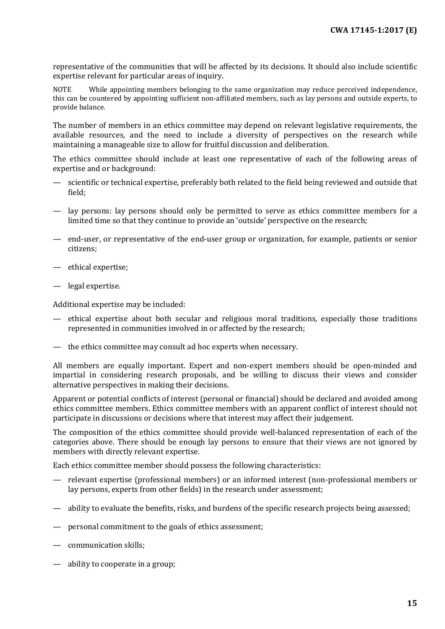representative of the communities that will be affected by its decisions. It should also include scientific expertise relevant for particular areas of inquiry.

NOTE While appointing members belonging to the same organization may reduce perceived independence, this can be countered by appointing sufficient non-affiliated members, such as lay persons and outside experts, to provide balance.

The number of members in an ethics committee may depend on relevant legislative requirements, the available resources, and the need to include a diversity of perspectives on the research while maintaining a manageable size to allow for fruitful discussion and deliberation.

The ethics committee should include at least one representative of each of the following areas of expertise and or background:

- scientific or technical expertise, preferably both related to the field being reviewed and outside that field;
- lay persons: lay persons should only be permitted to serve as ethics committee members for a limited time so that they continue to provide an 'outside' perspective on the research;
- end-user, or representative of the end-user group or organization, for example, patients or senior citizens;
- ethical expertise;
- legal expertise.

Additional expertise may be included:

- ethical expertise about both secular and religious moral traditions, especially those traditions represented in communities involved in or affected by the research;
- the ethics committee may consult ad hoc experts when necessary.

All members are equally important. Expert and non-expert members should be open-minded and impartial in considering research proposals, and be willing to discuss their views and consider alternative perspectives in making their decisions.

Apparent or potential conflicts of interest (personal or financial) should be declared and avoided among ethics committee members. Ethics committee members with an apparent conflict of interest should not participate in discussions or decisions where that interest may affect their judgement.

The composition of the ethics committee should provide well-balanced representation of each of the categories above. There should be enough lay persons to ensure that their views are not ignored by members with directly relevant expertise.

Each ethics committee member should possess the following characteristics:

- relevant expertise (professional members) or an informed interest (non-professional members or lay persons, experts from other fields) in the research under assessment;
- ability to evaluate the benefits, risks, and burdens of the specific research projects being assessed;
- personal commitment to the goals of ethics assessment;
- communication skills;
- ability to cooperate in a group;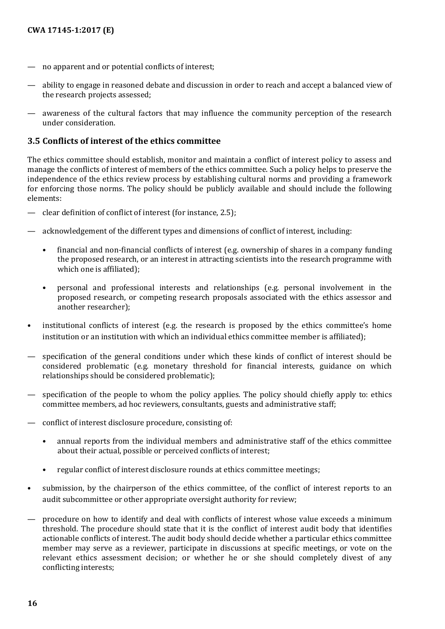- no apparent and or potential conflicts of interest;
- ability to engage in reasoned debate and discussion in order to reach and accept a balanced view of the research projects assessed;
- awareness of the cultural factors that may influence the community perception of the research under consideration.

#### <span id="page-15-0"></span>**3.5 Conflicts of interest of the ethics committee**

The ethics committee should establish, monitor and maintain a conflict of interest policy to assess and manage the conflicts of interest of members of the ethics committee. Such a policy helps to preserve the independence of the ethics review process by establishing cultural norms and providing a framework for enforcing those norms. The policy should be publicly available and should include the following elements:

- clear definition of conflict of interest (for instance, 2.5);
- acknowledgement of the different types and dimensions of conflict of interest, including:
	- financial and non-financial conflicts of interest (e.g. ownership of shares in a company funding the proposed research, or an interest in attracting scientists into the research programme with which one is affiliated);
	- personal and professional interests and relationships (e.g. personal involvement in the proposed research, or competing research proposals associated with the ethics assessor and another researcher);
- institutional conflicts of interest (e.g. the research is proposed by the ethics committee's home institution or an institution with which an individual ethics committee member is affiliated);
- specification of the general conditions under which these kinds of conflict of interest should be considered problematic (e.g. monetary threshold for financial interests, guidance on which relationships should be considered problematic);
- specification of the people to whom the policy applies. The policy should chiefly apply to: ethics committee members, ad hoc reviewers, consultants, guests and administrative staff;
- conflict of interest disclosure procedure, consisting of:
	- annual reports from the individual members and administrative staff of the ethics committee about their actual, possible or perceived conflicts of interest;
	- regular conflict of interest disclosure rounds at ethics committee meetings;
- submission, by the chairperson of the ethics committee, of the conflict of interest reports to an audit subcommittee or other appropriate oversight authority for review;
- procedure on how to identify and deal with conflicts of interest whose value exceeds a minimum threshold. The procedure should state that it is the conflict of interest audit body that identifies actionable conflicts of interest. The audit body should decide whether a particular ethics committee member may serve as a reviewer, participate in discussions at specific meetings, or vote on the relevant ethics assessment decision; or whether he or she should completely divest of any conflicting interests;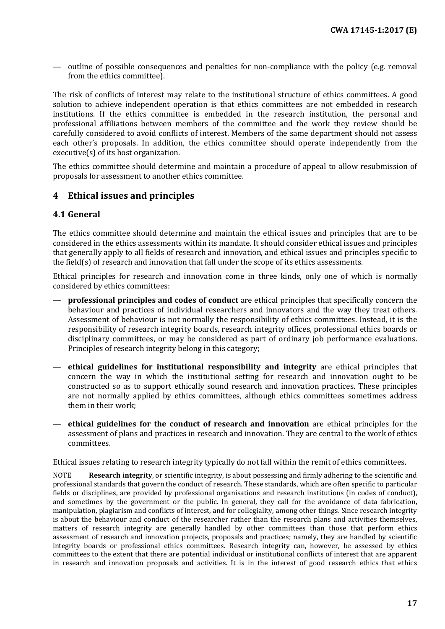— outline of possible consequences and penalties for non-compliance with the policy (e.g. removal from the ethics committee).

The risk of conflicts of interest may relate to the institutional structure of ethics committees. A good solution to achieve independent operation is that ethics committees are not embedded in research institutions. If the ethics committee is embedded in the research institution, the personal and professional affiliations between members of the committee and the work they review should be carefully considered to avoid conflicts of interest. Members of the same department should not assess each other's proposals. In addition, the ethics committee should operate independently from the executive(s) of its host organization.

The ethics committee should determine and maintain a procedure of appeal to allow resubmission of proposals for assessment to another ethics committee.

## <span id="page-16-0"></span>**4 Ethical issues and principles**

#### <span id="page-16-1"></span>**4.1 General**

The ethics committee should determine and maintain the ethical issues and principles that are to be considered in the ethics assessments within its mandate. It should consider ethical issues and principles that generally apply to all fields of research and innovation, and ethical issues and principles specific to the field(s) of research and innovation that fall under the scope of its ethics assessments.

Ethical principles for research and innovation come in three kinds, only one of which is normally considered by ethics committees:

- **professional principles and codes of conduct** are ethical principles that specifically concern the behaviour and practices of individual researchers and innovators and the way they treat others. Assessment of behaviour is not normally the responsibility of ethics committees. Instead, it is the responsibility of research integrity boards, research integrity offices, professional ethics boards or disciplinary committees, or may be considered as part of ordinary job performance evaluations. Principles of research integrity belong in this category;
- **ethical guidelines for institutional responsibility and integrity** are ethical principles that concern the way in which the institutional setting for research and innovation ought to be constructed so as to support ethically sound research and innovation practices. These principles are not normally applied by ethics committees, although ethics committees sometimes address them in their work;
- **ethical guidelines for the conduct of research and innovation** are ethical principles for the assessment of plans and practices in research and innovation. They are central to the work of ethics committees.

Ethical issues relating to research integrity typically do not fall within the remit of ethics committees.

NOTE **Research integrity**, or scientific integrity, is about possessing and firmly adhering to the scientific and professional standards that govern the conduct of research. These standards, which are often specific to particular fields or disciplines, are provided by professional organisations and research institutions (in codes of conduct), and sometimes by the government or the public. In general, they call for the avoidance of data fabrication, manipulation, plagiarism and conflicts of interest, and for collegiality, among other things. Since research integrity is about the behaviour and conduct of the researcher rather than the research plans and activities themselves, matters of research integrity are generally handled by other committees than those that perform ethics assessment of research and innovation projects, proposals and practices; namely, they are handled by scientific integrity boards or professional ethics committees. Research integrity can, however, be assessed by ethics committees to the extent that there are potential individual or institutional conflicts of interest that are apparent in research and innovation proposals and activities. It is in the interest of good research ethics that ethics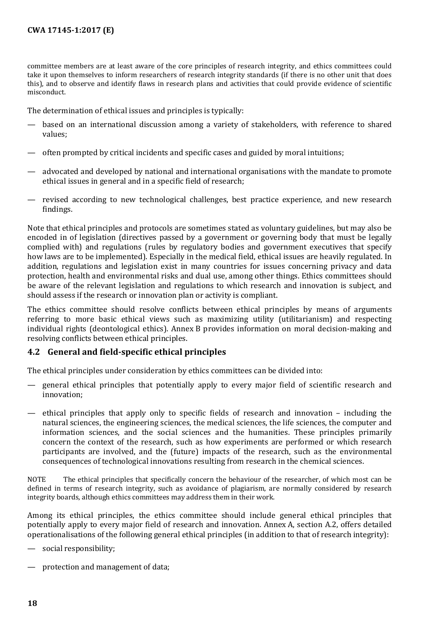committee members are at least aware of the core principles of research integrity, and ethics committees could take it upon themselves to inform researchers of research integrity standards (if there is no other unit that does this), and to observe and identify flaws in research plans and activities that could provide evidence of scientific misconduct.

The determination of ethical issues and principles is typically:

- based on an international discussion among a variety of stakeholders, with reference to shared values;
- often prompted by critical incidents and specific cases and guided by moral intuitions;
- advocated and developed by national and international organisations with the mandate to promote ethical issues in general and in a specific field of research;
- revised according to new technological challenges, best practice experience, and new research findings.

Note that ethical principles and protocols are sometimes stated as voluntary guidelines, but may also be encoded in of legislation (directives passed by a government or governing body that must be legally complied with) and regulations (rules by regulatory bodies and government executives that specify how laws are to be implemented). Especially in the medical field, ethical issues are heavily regulated. In addition, regulations and legislation exist in many countries for issues concerning privacy and data protection, health and environmental risks and dual use, among other things. Ethics committees should be aware of the relevant legislation and regulations to which research and innovation is subject, and should assess if the research or innovation plan or activity is compliant.

The ethics committee should resolve conflicts between ethical principles by means of arguments referring to more basic ethical views such as maximizing utility (utilitarianism) and respecting individual rights (deontological ethics). Annex B provides information on moral decision-making and resolving conflicts between ethical principles.

#### <span id="page-17-0"></span>**4.2 General and field-specific ethical principles**

The ethical principles under consideration by ethics committees can be divided into:

- general ethical principles that potentially apply to every major field of scientific research and innovation;
- ethical principles that apply only to specific fields of research and innovation including the natural sciences, the engineering sciences, the medical sciences, the life sciences, the computer and information sciences, and the social sciences and the humanities. These principles primarily concern the context of the research, such as how experiments are performed or which research participants are involved, and the (future) impacts of the research, such as the environmental consequences of technological innovations resulting from research in the chemical sciences.

NOTE The ethical principles that specifically concern the behaviour of the researcher, of which most can be defined in terms of research integrity, such as avoidance of plagiarism, are normally considered by research integrity boards, although ethics committees may address them in their work.

Among its ethical principles, the ethics committee should include general ethical principles that potentially apply to every major field of research and innovation. Annex A, section A.2, offers detailed operationalisations of the following general ethical principles (in addition to that of research integrity):

social responsibility;

protection and management of data;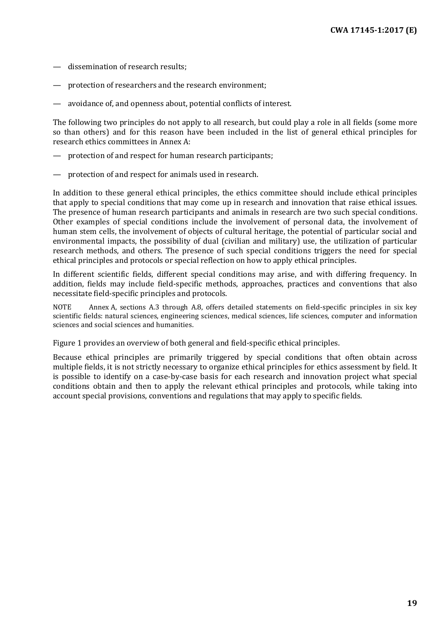- dissemination of research results;
- protection of researchers and the research environment;
- avoidance of, and openness about, potential conflicts of interest.

The following two principles do not apply to all research, but could play a role in all fields (some more so than others) and for this reason have been included in the list of general ethical principles for research ethics committees in Annex A:

- protection of and respect for human research participants;
- protection of and respect for animals used in research.

In addition to these general ethical principles, the ethics committee should include ethical principles that apply to special conditions that may come up in research and innovation that raise ethical issues. The presence of human research participants and animals in research are two such special conditions. Other examples of special conditions include the involvement of personal data, the involvement of human stem cells, the involvement of objects of cultural heritage, the potential of particular social and environmental impacts, the possibility of dual (civilian and military) use, the utilization of particular research methods, and others. The presence of such special conditions triggers the need for special ethical principles and protocols or special reflection on how to apply ethical principles.

In different scientific fields, different special conditions may arise, and with differing frequency. In addition, fields may include field-specific methods, approaches, practices and conventions that also necessitate field-specific principles and protocols.

NOTE Annex A, sections A.3 through A.8, offers detailed statements on field-specific principles in six key scientific fields: natural sciences, engineering sciences, medical sciences, life sciences, computer and information sciences and social sciences and humanities.

Figure 1 provides an overview of both general and field-specific ethical principles.

Because ethical principles are primarily triggered by special conditions that often obtain across multiple fields, it is not strictly necessary to organize ethical principles for ethics assessment by field. It is possible to identify on a case-by-case basis for each research and innovation project what special conditions obtain and then to apply the relevant ethical principles and protocols, while taking into account special provisions, conventions and regulations that may apply to specific fields.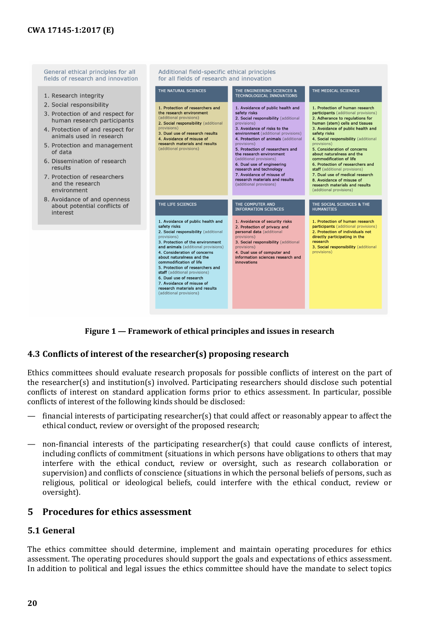

**Figure 1 — Framework of ethical principles and issues in research**

## <span id="page-19-0"></span>**4.3 Conflicts of interest of the researcher(s) proposing research**

Ethics committees should evaluate research proposals for possible conflicts of interest on the part of the researcher(s) and institution(s) involved. Participating researchers should disclose such potential conflicts of interest on standard application forms prior to ethics assessment. In particular, possible conflicts of interest of the following kinds should be disclosed:

- financial interests of participating researcher(s) that could affect or reasonably appear to affect the ethical conduct, review or oversight of the proposed research;
- non-financial interests of the participating researcher(s) that could cause conflicts of interest, including conflicts of commitment (situations in which persons have obligations to others that may interfere with the ethical conduct, review or oversight, such as research collaboration or supervision) and conflicts of conscience (situations in which the personal beliefs of persons, such as religious, political or ideological beliefs, could interfere with the ethical conduct, review or oversight).

## <span id="page-19-1"></span>**5 Procedures for ethics assessment**

#### <span id="page-19-2"></span>**5.1 General**

The ethics committee should determine, implement and maintain operating procedures for ethics assessment. The operating procedures should support the goals and expectations of ethics assessment. In addition to political and legal issues the ethics committee should have the mandate to select topics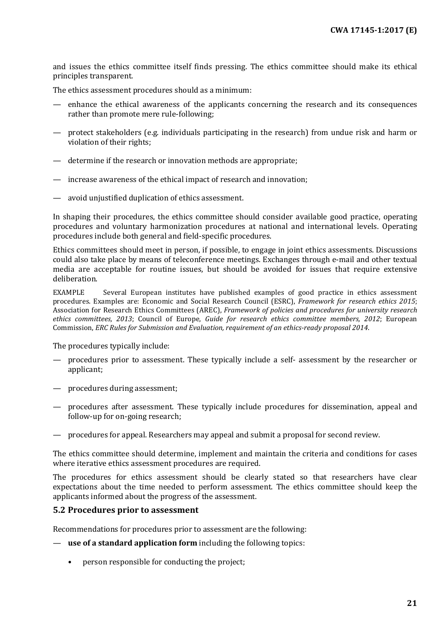and issues the ethics committee itself finds pressing. The ethics committee should make its ethical principles transparent.

The ethics assessment procedures should as a minimum:

- enhance the ethical awareness of the applicants concerning the research and its consequences rather than promote mere rule-following;
- protect stakeholders (e.g. individuals participating in the research) from undue risk and harm or violation of their rights;
- determine if the research or innovation methods are appropriate;
- increase awareness of the ethical impact of research and innovation;
- avoid unjustified duplication of ethics assessment.

In shaping their procedures, the ethics committee should consider available good practice, operating procedures and voluntary harmonization procedures at national and international levels. Operating procedures include both general and field-specific procedures.

Ethics committees should meet in person, if possible, to engage in joint ethics assessments. Discussions could also take place by means of teleconference meetings. Exchanges through e-mail and other textual media are acceptable for routine issues, but should be avoided for issues that require extensive deliberation.

EXAMPLE Several European institutes have published examples of good practice in ethics assessment procedures. Examples are: Economic and Social Research Council (ESRC), *Framework for research ethics 2015*; Association for Research Ethics Committees (AREC), *Framework of policies and procedures for university research ethics committees, 2013*; Council of Europe, *Guide for research ethics committee members, 2012*; European Commission, *ERC Rules for Submission and Evaluation, requirement of an ethics-ready proposal 2014*.

The procedures typically include:

- procedures prior to assessment. These typically include a self- assessment by the researcher or applicant;
- procedures during assessment;
- procedures after assessment. These typically include procedures for dissemination, appeal and follow-up for on-going research;
- procedures for appeal. Researchers may appeal and submit a proposal for second review.

The ethics committee should determine, implement and maintain the criteria and conditions for cases where iterative ethics assessment procedures are required.

The procedures for ethics assessment should be clearly stated so that researchers have clear expectations about the time needed to perform assessment. The ethics committee should keep the applicants informed about the progress of the assessment.

#### <span id="page-20-0"></span>**5.2 Procedures prior to assessment**

Recommendations for procedures prior to assessment are the following:

- **use of a standard application form** including the following topics:
	- person responsible for conducting the project;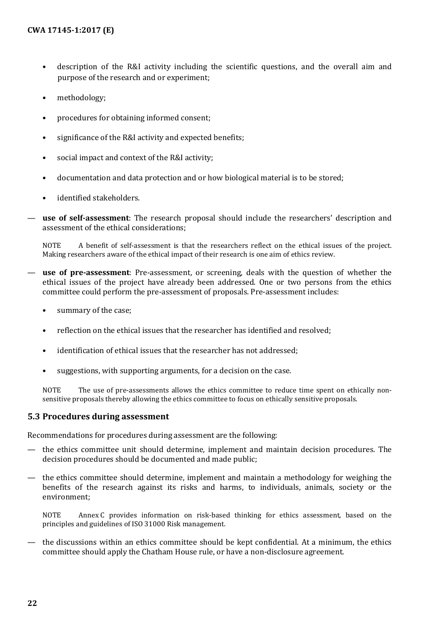- description of the R&I activity including the scientific questions, and the overall aim and purpose of the research and or experiment;
- methodology:
- procedures for obtaining informed consent;
- significance of the R&I activity and expected benefits;
- social impact and context of the R&I activity;
- documentation and data protection and or how biological material is to be stored;
- identified stakeholders.
- **use of self-assessment**: The research proposal should include the researchers' description and assessment of the ethical considerations;

NOTE A benefit of self-assessment is that the researchers reflect on the ethical issues of the project. Making researchers aware of the ethical impact of their research is one aim of ethics review.

- use of pre-assessment: Pre-assessment, or screening, deals with the question of whether the ethical issues of the project have already been addressed. One or two persons from the ethics committee could perform the pre-assessment of proposals. Pre-assessment includes:
	- summary of the case;
	- reflection on the ethical issues that the researcher has identified and resolved;
	- identification of ethical issues that the researcher has not addressed;
	- suggestions, with supporting arguments, for a decision on the case.

NOTE The use of pre-assessments allows the ethics committee to reduce time spent on ethically nonsensitive proposals thereby allowing the ethics committee to focus on ethically sensitive proposals.

#### <span id="page-21-0"></span>**5.3 Procedures during assessment**

Recommendations for procedures during assessment are the following:

- the ethics committee unit should determine, implement and maintain decision procedures. The decision procedures should be documented and made public;
- the ethics committee should determine, implement and maintain a methodology for weighing the benefits of the research against its risks and harms, to individuals, animals, society or the environment;

NOTE Annex C provides information on risk-based thinking for ethics assessment, based on the principles and guidelines of ISO 31000 Risk management.

— the discussions within an ethics committee should be kept confidential. At a minimum, the ethics committee should apply the Chatham House rule, or have a non-disclosure agreement.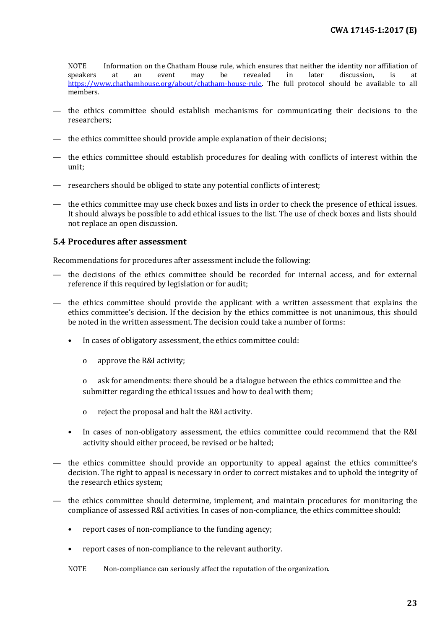NOTE Information on the Chatham House rule, which ensures that neither the identity nor affiliation of speakers at an event may be revealed in later discussion, is at speakers at an event may be revealed in later discussion, is at [https://www.chathamhouse.org/about/chatham-house-rule.](https://www.chathamhouse.org/about/chatham-house-rule) The full protocol should be available to all members.

- the ethics committee should establish mechanisms for communicating their decisions to the researchers;
- the ethics committee should provide ample explanation of their decisions;
- the ethics committee should establish procedures for dealing with conflicts of interest within the unit;
- researchers should be obliged to state any potential conflicts of interest;
- the ethics committee may use check boxes and lists in order to check the presence of ethical issues. It should always be possible to add ethical issues to the list. The use of check boxes and lists should not replace an open discussion.

#### <span id="page-22-0"></span>**5.4 Procedures after assessment**

Recommendations for procedures after assessment include the following:

- the decisions of the ethics committee should be recorded for internal access, and for external reference if this required by legislation or for audit;
- the ethics committee should provide the applicant with a written assessment that explains the ethics committee's decision. If the decision by the ethics committee is not unanimous, this should be noted in the written assessment. The decision could take a number of forms:
	- In cases of obligatory assessment, the ethics committee could:
		- o approve the R&I activity;

o ask for amendments: there should be a dialogue between the ethics committee and the submitter regarding the ethical issues and how to deal with them;

- o reject the proposal and halt the R&I activity.
- In cases of non-obligatory assessment, the ethics committee could recommend that the R&I activity should either proceed, be revised or be halted;
- the ethics committee should provide an opportunity to appeal against the ethics committee's decision. The right to appeal is necessary in order to correct mistakes and to uphold the integrity of the research ethics system;
- the ethics committee should determine, implement, and maintain procedures for monitoring the compliance of assessed R&I activities. In cases of non-compliance, the ethics committee should:
	- report cases of non-compliance to the funding agency;
	- report cases of non-compliance to the relevant authority.

NOTE Non-compliance can seriously affect the reputation of the organization.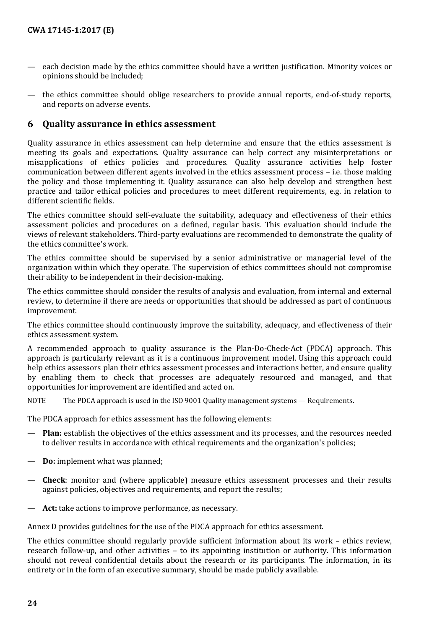- each decision made by the ethics committee should have a written justification. Minority voices or opinions should be included;
- the ethics committee should oblige researchers to provide annual reports, end-of-study reports, and reports on adverse events.

### <span id="page-23-0"></span>**6 Quality assurance in ethics assessment**

Quality assurance in ethics assessment can help determine and ensure that the ethics assessment is meeting its goals and expectations. Quality assurance can help correct any misinterpretations or misapplications of ethics policies and procedures. Quality assurance activities help foster communication between different agents involved in the ethics assessment process – i.e. those making the policy and those implementing it. Quality assurance can also help develop and strengthen best practice and tailor ethical policies and procedures to meet different requirements, e.g. in relation to different scientific fields.

The ethics committee should self-evaluate the suitability, adequacy and effectiveness of their ethics assessment policies and procedures on a defined, regular basis. This evaluation should include the views of relevant stakeholders. Third-party evaluations are recommended to demonstrate the quality of the ethics committee's work.

The ethics committee should be supervised by a senior administrative or managerial level of the organization within which they operate. The supervision of ethics committees should not compromise their ability to be independent in their decision-making.

The ethics committee should consider the results of analysis and evaluation, from internal and external review, to determine if there are needs or opportunities that should be addressed as part of continuous improvement.

The ethics committee should continuously improve the suitability, adequacy, and effectiveness of their ethics assessment system.

A recommended approach to quality assurance is the Plan-Do-Check-Act (PDCA) approach. This approach is particularly relevant as it is a continuous improvement model. Using this approach could help ethics assessors plan their ethics assessment processes and interactions better, and ensure quality by enabling them to check that processes are adequately resourced and managed, and that opportunities for improvement are identified and acted on.

NOTE The PDCA approach is used in the ISO 9001 Quality management systems — Requirements.

The PDCA approach for ethics assessment has the following elements:

- **Plan:** establish the objectives of the ethics assessment and its processes, and the resources needed to deliver results in accordance with ethical requirements and the organization's policies;
- **Do:** implement what was planned;
- **Check**: monitor and (where applicable) measure ethics assessment processes and their results against policies, objectives and requirements, and report the results;
- Act: take actions to improve performance, as necessary.

Annex D provides guidelines for the use of the PDCA approach for ethics assessment.

The ethics committee should regularly provide sufficient information about its work – ethics review, research follow-up, and other activities – to its appointing institution or authority. This information should not reveal confidential details about the research or its participants. The information, in its entirety or in the form of an executive summary, should be made publicly available.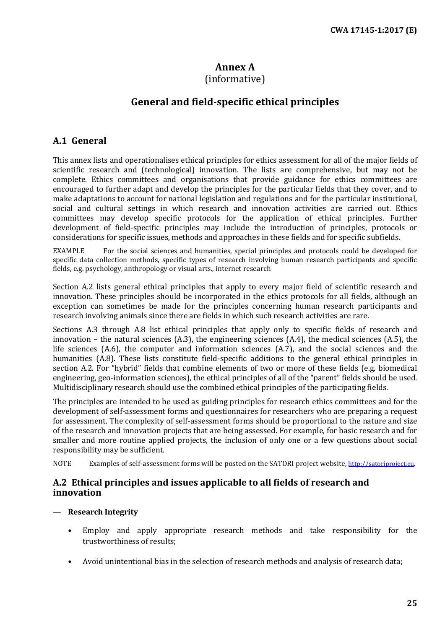## **Annex A**

## (informative)

## **General and field-specific ethical principles**

## <span id="page-24-1"></span><span id="page-24-0"></span>**A.1 General**

This annex lists and operationalises ethical principles for ethics assessment for all of the major fields of scientific research and (technological) innovation. The lists are comprehensive, but may not be complete. Ethics committees and organisations that provide guidance for ethics committees are encouraged to further adapt and develop the principles for the particular fields that they cover, and to make adaptations to account for national legislation and regulations and for the particular institutional, social and cultural settings in which research and innovation activities are carried out. Ethics committees may develop specific protocols for the application of ethical principles. Further development of field-specific principles may include the introduction of principles, protocols or considerations for specific issues, methods and approaches in these fields and for specific subfields.

EXAMPLE For the social sciences and humanities, special principles and protocols could be developed for specific data collection methods, specific types of research involving human research participants and specific fields, e.g. psychology, anthropology or visual arts., internet research

Section A.2 lists general ethical principles that apply to every major field of scientific research and innovation. These principles should be incorporated in the ethics protocols for all fields, although an exception can sometimes be made for the principles concerning human research participants and research involving animals since there are fields in which such research activities are rare.

Sections A.3 through A.8 list ethical principles that apply only to specific fields of research and innovation – the natural sciences  $(A.3)$ , the engineering sciences  $(A.4)$ , the medical sciences  $(A.5)$ , the life sciences (A.6), the computer and information sciences (A.7), and the social sciences and the humanities (A.8). These lists constitute field-specific additions to the general ethical principles in section A.2. For "hybrid" fields that combine elements of two or more of these fields (e.g. biomedical engineering, geo-information sciences), the ethical principles of all of the "parent" fields should be used. Multidisciplinary research should use the combined ethical principles of the participating fields.

The principles are intended to be used as guiding principles for research ethics committees and for the development of self-assessment forms and questionnaires for researchers who are preparing a request for assessment. The complexity of self-assessment forms should be proportional to the nature and size of the research and innovation projects that are being assessed. For example, for basic research and for smaller and more routine applied projects, the inclusion of only one or a few questions about social responsibility may be sufficient.

NOTE Examples of self-assessment forms will be posted on the SATORI project website[, http://satoriproject.eu.](http://satoriproject.eu/)

## <span id="page-24-2"></span>**A.2 Ethical principles and issues applicable to all fields of research and innovation**

- **Research Integrity**
	- Employ and apply appropriate research methods and take responsibility for the trustworthiness of results;
	- Avoid unintentional bias in the selection of research methods and analysis of research data;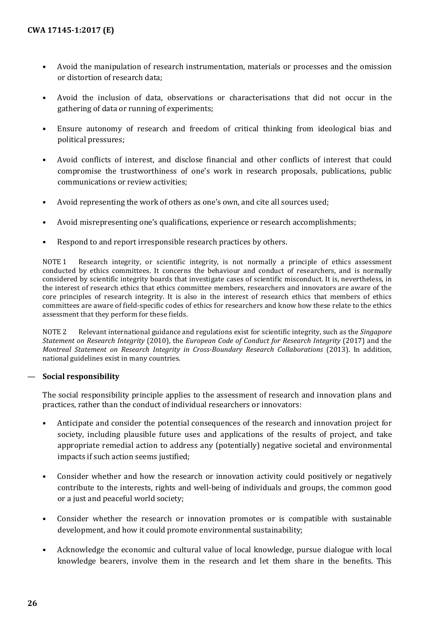- Avoid the manipulation of research instrumentation, materials or processes and the omission or distortion of research data;
- Avoid the inclusion of data, observations or characterisations that did not occur in the gathering of data or running of experiments;
- Ensure autonomy of research and freedom of critical thinking from ideological bias and political pressures;
- Avoid conflicts of interest, and disclose financial and other conflicts of interest that could compromise the trustworthiness of one's work in research proposals, publications, public communications or review activities;
- Avoid representing the work of others as one's own, and cite all sources used;
- Avoid misrepresenting one's qualifications, experience or research accomplishments;
- Respond to and report irresponsible research practices by others.

NOTE 1 Research integrity, or scientific integrity, is not normally a principle of ethics assessment conducted by ethics committees. It concerns the behaviour and conduct of researchers, and is normally considered by scientific integrity boards that investigate cases of scientific misconduct. It is, nevertheless, in the interest of research ethics that ethics committee members, researchers and innovators are aware of the core principles of research integrity. It is also in the interest of research ethics that members of ethics committees are aware of field-specific codes of ethics for researchers and know how these relate to the ethics assessment that they perform for these fields.

NOTE 2 Relevant international guidance and regulations exist for scientific integrity, such as the *Singapore Statement on Research Integrity* (2010), the *European Code of Conduct for Research Integrity* (2017) and the *Montreal Statement on Research Integrity in Cross-Boundary Research Collaborations* (2013). In addition, national guidelines exist in many countries.

#### — **Social responsibility**

The social responsibility principle applies to the assessment of research and innovation plans and practices, rather than the conduct of individual researchers or innovators:

- Anticipate and consider the potential consequences of the research and innovation project for society, including plausible future uses and applications of the results of project, and take appropriate remedial action to address any (potentially) negative societal and environmental impacts if such action seems justified;
- Consider whether and how the research or innovation activity could positively or negatively contribute to the interests, rights and well-being of individuals and groups, the common good or a just and peaceful world society;
- Consider whether the research or innovation promotes or is compatible with sustainable development, and how it could promote environmental sustainability;
- Acknowledge the economic and cultural value of local knowledge, pursue dialogue with local knowledge bearers, involve them in the research and let them share in the benefits. This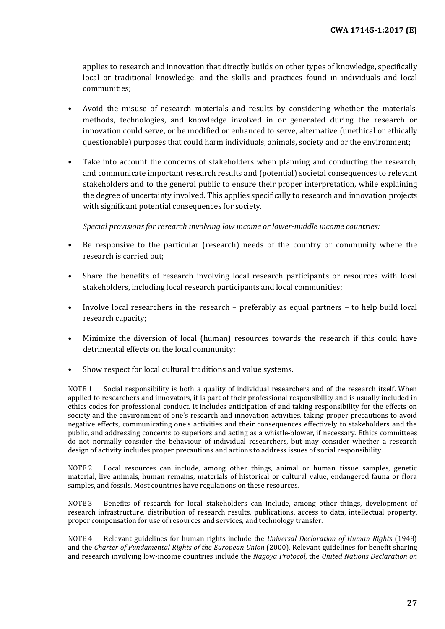applies to research and innovation that directly builds on other types of knowledge, specifically local or traditional knowledge, and the skills and practices found in individuals and local communities;

- Avoid the misuse of research materials and results by considering whether the materials, methods, technologies, and knowledge involved in or generated during the research or innovation could serve, or be modified or enhanced to serve, alternative (unethical or ethically questionable) purposes that could harm individuals, animals, society and or the environment;
- Take into account the concerns of stakeholders when planning and conducting the research, and communicate important research results and (potential) societal consequences to relevant stakeholders and to the general public to ensure their proper interpretation, while explaining the degree of uncertainty involved. This applies specifically to research and innovation projects with significant potential consequences for society.

*Special provisions for research involving low income or lower-middle income countries:*

- Be responsive to the particular (research) needs of the country or community where the research is carried out;
- Share the benefits of research involving local research participants or resources with local stakeholders, including local research participants and local communities;
- Involve local researchers in the research preferably as equal partners to help build local research capacity;
- Minimize the diversion of local (human) resources towards the research if this could have detrimental effects on the local community;
- Show respect for local cultural traditions and value systems.

NOTE 1 Social responsibility is both a quality of individual researchers and of the research itself. When applied to researchers and innovators, it is part of their professional responsibility and is usually included in ethics codes for professional conduct. It includes anticipation of and taking responsibility for the effects on society and the environment of one's research and innovation activities, taking proper precautions to avoid negative effects, communicating one's activities and their consequences effectively to stakeholders and the public, and addressing concerns to superiors and acting as a whistle-blower, if necessary. Ethics committees do not normally consider the behaviour of individual researchers, but may consider whether a research design of activity includes proper precautions and actions to address issues of social responsibility.

NOTE 2 Local resources can include, among other things, animal or human tissue samples, genetic material, live animals, human remains, materials of historical or cultural value, endangered fauna or flora samples, and fossils. Most countries have regulations on these resources.

NOTE 3 Benefits of research for local stakeholders can include, among other things, development of research infrastructure, distribution of research results, publications, access to data, intellectual property, proper compensation for use of resources and services, and technology transfer.

NOTE 4 Relevant guidelines for human rights include the *Universal Declaration of Human Rights* (1948) and the *Charter of Fundamental Rights of the European Union* (2000). Relevant guidelines for benefit sharing and research involving low-income countries include the *Nagoya Protocol*, the *United Nations Declaration on*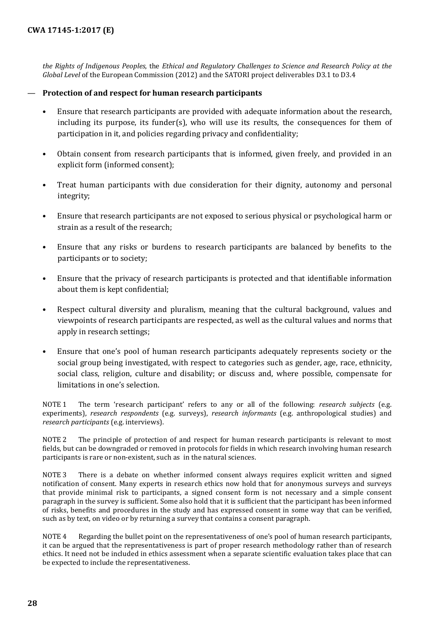*the Rights of Indigenous Peoples*, the *Ethical and Regulatory Challenges to Science and Research Policy at the Global Level* of the European Commission (2012) and the SATORI project deliverables D3.1 to D3.4

#### — **Protection of and respect for human research participants**

- Ensure that research participants are provided with adequate information about the research, including its purpose, its funder(s), who will use its results, the consequences for them of participation in it, and policies regarding privacy and confidentiality;
- Obtain consent from research participants that is informed, given freely, and provided in an explicit form (informed consent);
- Treat human participants with due consideration for their dignity, autonomy and personal integrity;
- Ensure that research participants are not exposed to serious physical or psychological harm or strain as a result of the research;
- Ensure that any risks or burdens to research participants are balanced by benefits to the participants or to society;
- Ensure that the privacy of research participants is protected and that identifiable information about them is kept confidential;
- Respect cultural diversity and pluralism, meaning that the cultural background, values and viewpoints of research participants are respected, as well as the cultural values and norms that apply in research settings;
- Ensure that one's pool of human research participants adequately represents society or the social group being investigated, with respect to categories such as gender, age, race, ethnicity, social class, religion, culture and disability; or discuss and, where possible, compensate for limitations in one's selection.

NOTE 1 The term 'research participant' refers to any or all of the following: *research subjects* (e.g. experiments), *research respondents* (e.g. surveys), *research informants* (e.g. anthropological studies) and *research participants* (e.g. interviews).

NOTE 2 The principle of protection of and respect for human research participants is relevant to most fields, but can be downgraded or removed in protocols for fields in which research involving human research participants is rare or non-existent, such as in the natural sciences.

NOTE 3 There is a debate on whether informed consent always requires explicit written and signed notification of consent. Many experts in research ethics now hold that for anonymous surveys and surveys that provide minimal risk to participants, a signed consent form is not necessary and a simple consent paragraph in the survey is sufficient. Some also hold that it is sufficient that the participant has been informed of risks, benefits and procedures in the study and has expressed consent in some way that can be verified, such as by text, on video or by returning a survey that contains a consent paragraph.

NOTE 4 Regarding the bullet point on the representativeness of one's pool of human research participants, it can be argued that the representativeness is part of proper research methodology rather than of research ethics. It need not be included in ethics assessment when a separate scientific evaluation takes place that can be expected to include the representativeness.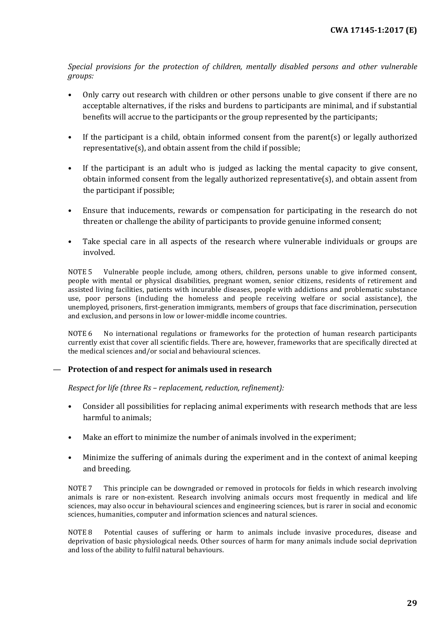*Special provisions for the protection of children, mentally disabled persons and other vulnerable groups:*

- Only carry out research with children or other persons unable to give consent if there are no acceptable alternatives, if the risks and burdens to participants are minimal, and if substantial benefits will accrue to the participants or the group represented by the participants;
- If the participant is a child, obtain informed consent from the parent(s) or legally authorized representative(s), and obtain assent from the child if possible;
- If the participant is an adult who is judged as lacking the mental capacity to give consent, obtain informed consent from the legally authorized representative(s), and obtain assent from the participant if possible;
- Ensure that inducements, rewards or compensation for participating in the research do not threaten or challenge the ability of participants to provide genuine informed consent;
- Take special care in all aspects of the research where vulnerable individuals or groups are involved.

NOTE 5 Vulnerable people include, among others, children, persons unable to give informed consent, people with mental or physical disabilities, pregnant women, senior citizens, residents of retirement and assisted living facilities, patients with incurable diseases, people with addictions and problematic substance use, poor persons (including the homeless and people receiving welfare or social assistance), the unemployed, prisoners, first-generation immigrants, members of groups that face discrimination, persecution and exclusion, and persons in low or lower-middle income countries.

NOTE 6 No international regulations or frameworks for the protection of human research participants currently exist that cover all scientific fields. There are, however, frameworks that are specifically directed at the medical sciences and/or social and behavioural sciences.

#### — **Protection of and respect for animals used in research**

*Respect for life (three Rs – replacement, reduction, refinement):*

- Consider all possibilities for replacing animal experiments with research methods that are less harmful to animals;
- Make an effort to minimize the number of animals involved in the experiment;
- Minimize the suffering of animals during the experiment and in the context of animal keeping and breeding.

NOTE 7 This principle can be downgraded or removed in protocols for fields in which research involving animals is rare or non-existent. Research involving animals occurs most frequently in medical and life sciences, may also occur in behavioural sciences and engineering sciences, but is rarer in social and economic sciences, humanities, computer and information sciences and natural sciences.

NOTE 8 Potential causes of suffering or harm to animals include invasive procedures, disease and deprivation of basic physiological needs. Other sources of harm for many animals include social deprivation and loss of the ability to fulfil natural behaviours.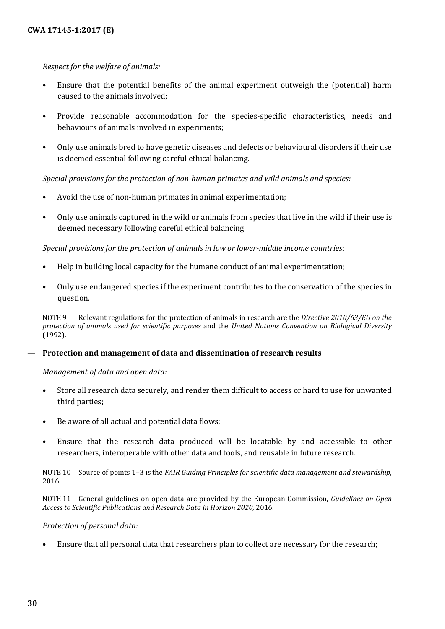#### *Respect for the welfare of animals:*

- Ensure that the potential benefits of the animal experiment outweigh the (potential) harm caused to the animals involved;
- Provide reasonable accommodation for the species-specific characteristics, needs and behaviours of animals involved in experiments;
- Only use animals bred to have genetic diseases and defects or behavioural disorders if their use is deemed essential following careful ethical balancing.

*Special provisions for the protection of non-human primates and wild animals and species:*

- Avoid the use of non-human primates in animal experimentation;
- Only use animals captured in the wild or animals from species that live in the wild if their use is deemed necessary following careful ethical balancing.

*Special provisions for the protection of animals in low or lower-middle income countries:*

- Help in building local capacity for the humane conduct of animal experimentation;
- Only use endangered species if the experiment contributes to the conservation of the species in question.

NOTE 9 Relevant regulations for the protection of animals in research are the *Directive 2010/63/EU on the protection of animals used for scientific purposes* and the *United Nations Convention on Biological Diversity* (1992).

#### — **Protection and management of data and dissemination of research results**

*Management of data and open data:*

- Store all research data securely, and render them difficult to access or hard to use for unwanted third parties;
- Be aware of all actual and potential data flows;
- Ensure that the research data produced will be locatable by and accessible to other researchers, interoperable with other data and tools, and reusable in future research.

NOTE 10 Source of points 1–3 is the *FAIR Guiding Principles for scientific data management and stewardship*, 2016.

NOTE 11 General guidelines on open data are provided by the European Commission, *Guidelines on Open Access to Scientific Publications and Research Data in Horizon 2020*, 2016.

#### *Protection of personal data:*

• Ensure that all personal data that researchers plan to collect are necessary for the research;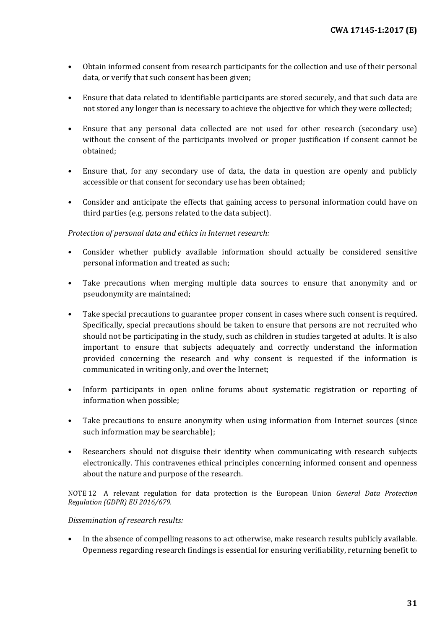- Obtain informed consent from research participants for the collection and use of their personal data, or verify that such consent has been given;
- Ensure that data related to identifiable participants are stored securely, and that such data are not stored any longer than is necessary to achieve the objective for which they were collected;
- Ensure that any personal data collected are not used for other research (secondary use) without the consent of the participants involved or proper justification if consent cannot be obtained;
- Ensure that, for any secondary use of data, the data in question are openly and publicly accessible or that consent for secondary use has been obtained;
- Consider and anticipate the effects that gaining access to personal information could have on third parties (e.g. persons related to the data subject).

### *Protection of personal data and ethics in Internet research:*

- Consider whether publicly available information should actually be considered sensitive personal information and treated as such;
- Take precautions when merging multiple data sources to ensure that anonymity and or pseudonymity are maintained;
- Take special precautions to guarantee proper consent in cases where such consent is required. Specifically, special precautions should be taken to ensure that persons are not recruited who should not be participating in the study, such as children in studies targeted at adults. It is also important to ensure that subjects adequately and correctly understand the information provided concerning the research and why consent is requested if the information is communicated in writing only, and over the Internet;
- Inform participants in open online forums about systematic registration or reporting of information when possible;
- Take precautions to ensure anonymity when using information from Internet sources (since such information may be searchable);
- Researchers should not disguise their identity when communicating with research subjects electronically. This contravenes ethical principles concerning informed consent and openness about the nature and purpose of the research.

NOTE 12 A relevant regulation for data protection is the European Union *General Data Protection Regulation (GDPR) EU 2016/679.*

#### *Dissemination of research results:*

• In the absence of compelling reasons to act otherwise, make research results publicly available. Openness regarding research findings is essential for ensuring verifiability, returning benefit to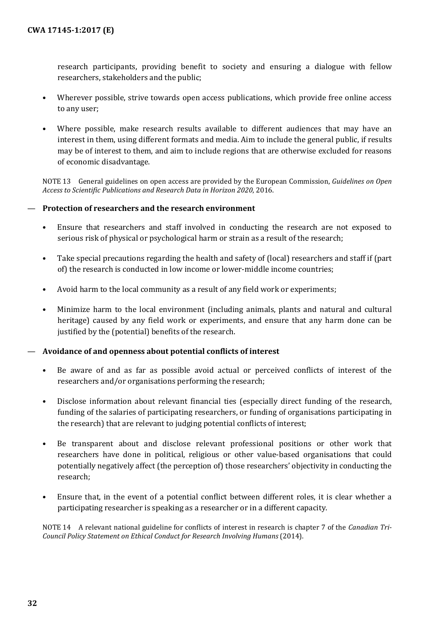research participants, providing benefit to society and ensuring a dialogue with fellow researchers, stakeholders and the public;

- Wherever possible, strive towards open access publications, which provide free online access to any user;
- Where possible, make research results available to different audiences that may have an interest in them, using different formats and media. Aim to include the general public, if results may be of interest to them, and aim to include regions that are otherwise excluded for reasons of economic disadvantage.

NOTE 13 General guidelines on open access are provided by the European Commission, *Guidelines on Open Access to Scientific Publications and Research Data in Horizon 2020*, 2016.

#### — **Protection of researchers and the research environment**

- Ensure that researchers and staff involved in conducting the research are not exposed to serious risk of physical or psychological harm or strain as a result of the research;
- Take special precautions regarding the health and safety of (local) researchers and staff if (part of) the research is conducted in low income or lower-middle income countries;
- Avoid harm to the local community as a result of any field work or experiments;
- Minimize harm to the local environment (including animals, plants and natural and cultural heritage) caused by any field work or experiments, and ensure that any harm done can be justified by the (potential) benefits of the research.

#### — **Avoidance of and openness about potential conflicts of interest**

- Be aware of and as far as possible avoid actual or perceived conflicts of interest of the researchers and/or organisations performing the research;
- Disclose information about relevant financial ties (especially direct funding of the research, funding of the salaries of participating researchers, or funding of organisations participating in the research) that are relevant to judging potential conflicts of interest;
- Be transparent about and disclose relevant professional positions or other work that researchers have done in political, religious or other value-based organisations that could potentially negatively affect (the perception of) those researchers' objectivity in conducting the research;
- Ensure that, in the event of a potential conflict between different roles, it is clear whether a participating researcher is speaking as a researcher or in a different capacity.

NOTE 14 A relevant national guideline for conflicts of interest in research is chapter 7 of the *Canadian Tri-Council Policy Statement on Ethical Conduct for Research Involving Humans* (2014).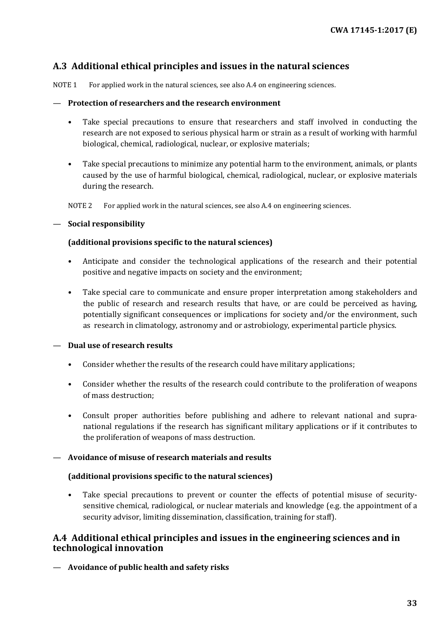## <span id="page-32-0"></span>**A.3 Additional ethical principles and issues in the natural sciences**

NOTE 1 For applied work in the natural sciences, see also A.4 on engineering sciences.

#### — **Protection of researchers and the research environment**

- Take special precautions to ensure that researchers and staff involved in conducting the research are not exposed to serious physical harm or strain as a result of working with harmful biological, chemical, radiological, nuclear, or explosive materials;
- Take special precautions to minimize any potential harm to the environment, animals, or plants caused by the use of harmful biological, chemical, radiological, nuclear, or explosive materials during the research.

NOTE 2 For applied work in the natural sciences, see also A.4 on engineering sciences.

#### — **Social responsibility**

#### **(additional provisions specific to the natural sciences)**

- Anticipate and consider the technological applications of the research and their potential positive and negative impacts on society and the environment;
- Take special care to communicate and ensure proper interpretation among stakeholders and the public of research and research results that have, or are could be perceived as having, potentially significant consequences or implications for society and/or the environment, such as research in climatology, astronomy and or astrobiology, experimental particle physics.

#### — **Dual use of research results**

- Consider whether the results of the research could have military applications;
- Consider whether the results of the research could contribute to the proliferation of weapons of mass destruction;
- Consult proper authorities before publishing and adhere to relevant national and supranational regulations if the research has significant military applications or if it contributes to the proliferation of weapons of mass destruction.

#### — **Avoidance of misuse of research materials and results**

#### **(additional provisions specific to the natural sciences)**

Take special precautions to prevent or counter the effects of potential misuse of securitysensitive chemical, radiological, or nuclear materials and knowledge (e.g. the appointment of a security advisor, limiting dissemination, classification, training for staff).

## <span id="page-32-1"></span>**A.4 Additional ethical principles and issues in the engineering sciences and in technological innovation**

— **Avoidance of public health and safety risks**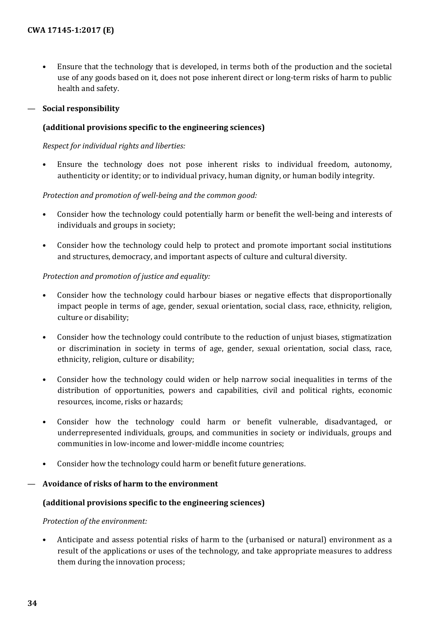• Ensure that the technology that is developed, in terms both of the production and the societal use of any goods based on it, does not pose inherent direct or long-term risks of harm to public health and safety.

### — **Social responsibility**

### **(additional provisions specific to the engineering sciences)**

*Respect for individual rights and liberties:*

• Ensure the technology does not pose inherent risks to individual freedom, autonomy, authenticity or identity; or to individual privacy, human dignity, or human bodily integrity.

#### *Protection and promotion of well-being and the common good:*

- Consider how the technology could potentially harm or benefit the well-being and interests of individuals and groups in society;
- Consider how the technology could help to protect and promote important social institutions and structures, democracy, and important aspects of culture and cultural diversity.

### *Protection and promotion of justice and equality:*

- Consider how the technology could harbour biases or negative effects that disproportionally impact people in terms of age, gender, sexual orientation, social class, race, ethnicity, religion, culture or disability;
- Consider how the technology could contribute to the reduction of unjust biases, stigmatization or discrimination in society in terms of age, gender, sexual orientation, social class, race, ethnicity, religion, culture or disability;
- Consider how the technology could widen or help narrow social inequalities in terms of the distribution of opportunities, powers and capabilities, civil and political rights, economic resources, income, risks or hazards;
- Consider how the technology could harm or benefit vulnerable, disadvantaged, or underrepresented individuals, groups, and communities in society or individuals, groups and communities in low-income and lower-middle income countries;
- Consider how the technology could harm or benefit future generations.

#### — **Avoidance of risks of harm to the environment**

#### **(additional provisions specific to the engineering sciences)**

#### *Protection of the environment:*

• Anticipate and assess potential risks of harm to the (urbanised or natural) environment as a result of the applications or uses of the technology, and take appropriate measures to address them during the innovation process;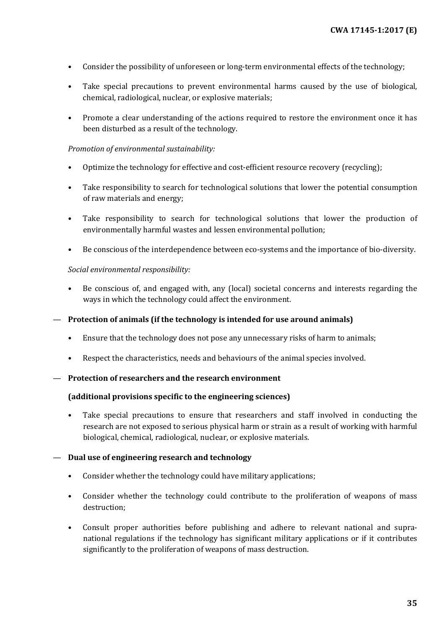- Consider the possibility of unforeseen or long-term environmental effects of the technology;
- Take special precautions to prevent environmental harms caused by the use of biological, chemical, radiological, nuclear, or explosive materials;
- Promote a clear understanding of the actions required to restore the environment once it has been disturbed as a result of the technology.

#### *Promotion of environmental sustainability:*

- Optimize the technology for effective and cost-efficient resource recovery (recycling);
- Take responsibility to search for technological solutions that lower the potential consumption of raw materials and energy;
- Take responsibility to search for technological solutions that lower the production of environmentally harmful wastes and lessen environmental pollution;
- Be conscious of the interdependence between eco-systems and the importance of bio-diversity.

#### *Social environmental responsibility:*

- Be conscious of, and engaged with, any (local) societal concerns and interests regarding the ways in which the technology could affect the environment.
- **Protection of animals (if the technology is intended for use around animals)**
	- Ensure that the technology does not pose any unnecessary risks of harm to animals;
	- Respect the characteristics, needs and behaviours of the animal species involved.

#### — **Protection of researchers and the research environment**

#### **(additional provisions specific to the engineering sciences)**

• Take special precautions to ensure that researchers and staff involved in conducting the research are not exposed to serious physical harm or strain as a result of working with harmful biological, chemical, radiological, nuclear, or explosive materials.

#### — **Dual use of engineering research and technology**

- Consider whether the technology could have military applications;
- Consider whether the technology could contribute to the proliferation of weapons of mass destruction;
- Consult proper authorities before publishing and adhere to relevant national and supranational regulations if the technology has significant military applications or if it contributes significantly to the proliferation of weapons of mass destruction.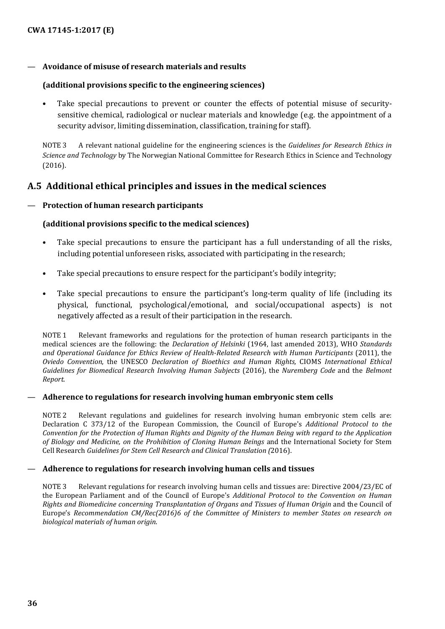#### — **Avoidance of misuse of research materials and results**

#### **(additional provisions specific to the engineering sciences)**

• Take special precautions to prevent or counter the effects of potential misuse of securitysensitive chemical, radiological or nuclear materials and knowledge (e.g. the appointment of a security advisor, limiting dissemination, classification, training for staff).

NOTE 3 A relevant national guideline for the engineering sciences is the *Guidelines for Research Ethics in Science and Technology* by The Norwegian National Committee for Research Ethics in Science and Technology (2016).

### <span id="page-35-0"></span>**A.5 Additional ethical principles and issues in the medical sciences**

#### — **Protection of human research participants**

#### **(additional provisions specific to the medical sciences)**

- Take special precautions to ensure the participant has a full understanding of all the risks, including potential unforeseen risks, associated with participating in the research;
- Take special precautions to ensure respect for the participant's bodily integrity;
- Take special precautions to ensure the participant's long-term quality of life (including its physical, functional, psychological/emotional, and social/occupational aspects) is not negatively affected as a result of their participation in the research.

NOTE 1 Relevant frameworks and regulations for the protection of human research participants in the medical sciences are the following: the *Declaration of Helsinki* (1964, last amended 2013), WHO *Standards and Operational Guidance for Ethics Review of Health-Related Research with Human Participants* (2011), the *Oviedo Convention*, the UNESCO *Declaration of Bioethics and Human Rights,* CIOMS *International Ethical Guidelines for Biomedical Research Involving Human Subjects* (2016), the *Nuremberg Code* and the *Belmont Report*.

#### — **Adherence to regulations for research involving human embryonic stem cells**

NOTE 2 Relevant regulations and guidelines for research involving human embryonic stem cells are: Declaration C 373/12 of the European Commission, the Council of Europe's *Additional Protocol to the Convention for the Protection of Human Rights and Dignity of the Human Being with regard to the Application of Biology and Medicine, on the Prohibition of Cloning Human Beings* and the International Society for Stem Cell Research *Guidelines for Stem Cell Research and Clinical Translation (*2016).

#### — **Adherence to regulations for research involving human cells and tissues**

NOTE 3 Relevant regulations for research involving human cells and tissues are: Directive 2004/23/EC of the European Parliament and of the Council of Europe's *Additional Protocol to the Convention on Human Rights and Biomedicine concerning Transplantation of Organs and Tissues of Human Origin* and the Council of Europe's *Recommendation CM/Rec(2016)6 of the Committee of Ministers to member States on research on biological materials of human origin*.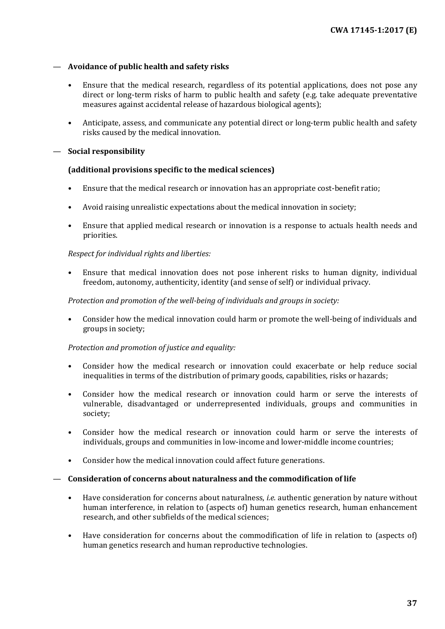#### — **Avoidance of public health and safety risks**

- Ensure that the medical research, regardless of its potential applications, does not pose any direct or long-term risks of harm to public health and safety (e.g. take adequate preventative measures against accidental release of hazardous biological agents);
- Anticipate, assess, and communicate any potential direct or long-term public health and safety risks caused by the medical innovation.

#### — **Social responsibility**

#### **(additional provisions specific to the medical sciences)**

- Ensure that the medical research or innovation has an appropriate cost-benefit ratio;
- Avoid raising unrealistic expectations about the medical innovation in society;
- Ensure that applied medical research or innovation is a response to actuals health needs and priorities.

#### *Respect for individual rights and liberties:*

• Ensure that medical innovation does not pose inherent risks to human dignity, individual freedom, autonomy, authenticity, identity (and sense of self) or individual privacy.

#### *Protection and promotion of the well-being of individuals and groups in society:*

• Consider how the medical innovation could harm or promote the well-being of individuals and groups in society;

#### *Protection and promotion of justice and equality:*

- Consider how the medical research or innovation could exacerbate or help reduce social inequalities in terms of the distribution of primary goods, capabilities, risks or hazards;
- Consider how the medical research or innovation could harm or serve the interests of vulnerable, disadvantaged or underrepresented individuals, groups and communities in society;
- Consider how the medical research or innovation could harm or serve the interests of individuals, groups and communities in low-income and lower-middle income countries;
- Consider how the medical innovation could affect future generations.

#### — **Consideration of concerns about naturalness and the commodification of life**

- Have consideration for concerns about naturalness, *i.e.* authentic generation by nature without human interference, in relation to (aspects of) human genetics research, human enhancement research, and other subfields of the medical sciences;
- Have consideration for concerns about the commodification of life in relation to (aspects of) human genetics research and human reproductive technologies.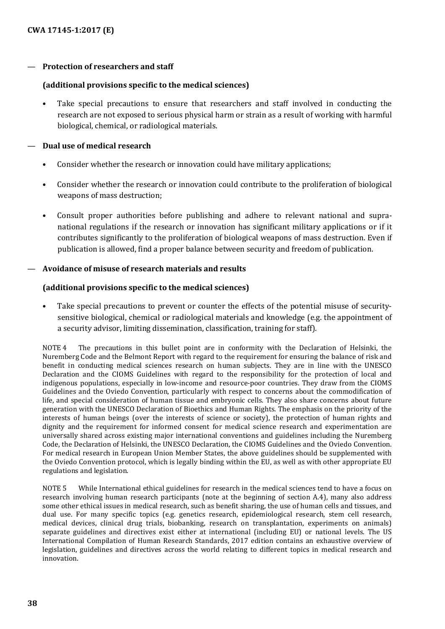#### — **Protection of researchers and staff**

#### **(additional provisions specific to the medical sciences)**

• Take special precautions to ensure that researchers and staff involved in conducting the research are not exposed to serious physical harm or strain as a result of working with harmful biological, chemical, or radiological materials.

#### — **Dual use of medical research**

- Consider whether the research or innovation could have military applications;
- Consider whether the research or innovation could contribute to the proliferation of biological weapons of mass destruction;
- Consult proper authorities before publishing and adhere to relevant national and supranational regulations if the research or innovation has significant military applications or if it contributes significantly to the proliferation of biological weapons of mass destruction. Even if publication is allowed, find a proper balance between security and freedom of publication.

#### — **Avoidance of misuse of research materials and results**

#### **(additional provisions specific to the medical sciences)**

• Take special precautions to prevent or counter the effects of the potential misuse of securitysensitive biological, chemical or radiological materials and knowledge (e.g. the appointment of a security advisor, limiting dissemination, classification, training for staff).

NOTE 4 The precautions in this bullet point are in conformity with the Declaration of Helsinki, the Nuremberg Code and the Belmont Report with regard to the requirement for ensuring the balance of risk and benefit in conducting medical sciences research on human subjects. They are in line with the UNESCO Declaration and the CIOMS Guidelines with regard to the responsibility for the protection of local and indigenous populations, especially in low-income and resource-poor countries. They draw from the CIOMS Guidelines and the Oviedo Convention, particularly with respect to concerns about the commodification of life, and special consideration of human tissue and embryonic cells. They also share concerns about future generation with the UNESCO Declaration of Bioethics and Human Rights. The emphasis on the priority of the interests of human beings (over the interests of science or society), the protection of human rights and dignity and the requirement for informed consent for medical science research and experimentation are universally shared across existing major international conventions and guidelines including the Nuremberg Code, the Declaration of Helsinki, the UNESCO Declaration, the CIOMS Guidelines and the Oviedo Convention. For medical research in European Union Member States, the above guidelines should be supplemented with the Oviedo Convention protocol, which is legally binding within the EU, as well as with other appropriate EU regulations and legislation.

NOTE 5 While International ethical guidelines for research in the medical sciences tend to have a focus on research involving human research participants (note at the beginning of section A.4), many also address some other ethical issues in medical research, such as benefit sharing, the use of human cells and tissues, and dual use. For many specific topics (e.g. genetics research, epidemiological research, stem cell research, medical devices, clinical drug trials, biobanking, research on transplantation, experiments on animals) separate guidelines and directives exist either at international (including EU) or national levels. The US International Compilation of Human Research Standards, 2017 edition contains an exhaustive overview of legislation, guidelines and directives across the world relating to different topics in medical research and innovation.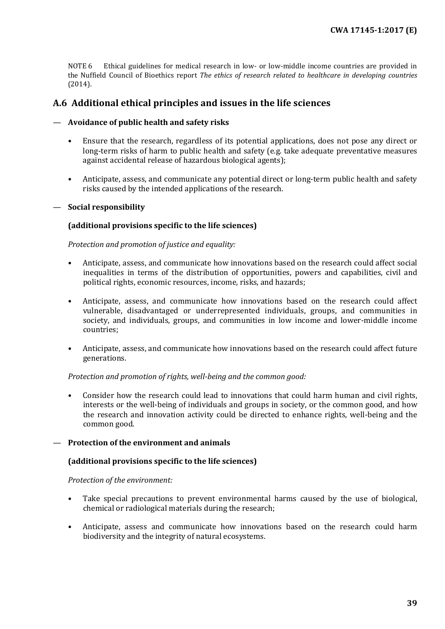NOTE 6 Ethical guidelines for medical research in low- or low-middle income countries are provided in the Nuffield Council of Bioethics report *The ethics of research related to healthcare in developing countries* (2014).

## <span id="page-38-0"></span>**A.6 Additional ethical principles and issues in the life sciences**

#### — **Avoidance of public health and safety risks**

- Ensure that the research, regardless of its potential applications, does not pose any direct or long-term risks of harm to public health and safety (e.g. take adequate preventative measures against accidental release of hazardous biological agents);
- Anticipate, assess, and communicate any potential direct or long-term public health and safety risks caused by the intended applications of the research.

#### — **Social responsibility**

#### **(additional provisions specific to the life sciences)**

*Protection and promotion of justice and equality:*

- Anticipate, assess, and communicate how innovations based on the research could affect social inequalities in terms of the distribution of opportunities, powers and capabilities, civil and political rights, economic resources, income, risks, and hazards;
- Anticipate, assess, and communicate how innovations based on the research could affect vulnerable, disadvantaged or underrepresented individuals, groups, and communities in society, and individuals, groups, and communities in low income and lower-middle income countries;
- Anticipate, assess, and communicate how innovations based on the research could affect future generations.

#### *Protection and promotion of rights, well-being and the common good:*

• Consider how the research could lead to innovations that could harm human and civil rights, interests or the well-being of individuals and groups in society, or the common good, and how the research and innovation activity could be directed to enhance rights, well-being and the common good.

#### — **Protection of the environment and animals**

#### **(additional provisions specific to the life sciences)**

#### *Protection of the environment:*

- Take special precautions to prevent environmental harms caused by the use of biological, chemical or radiological materials during the research;
- Anticipate, assess and communicate how innovations based on the research could harm biodiversity and the integrity of natural ecosystems.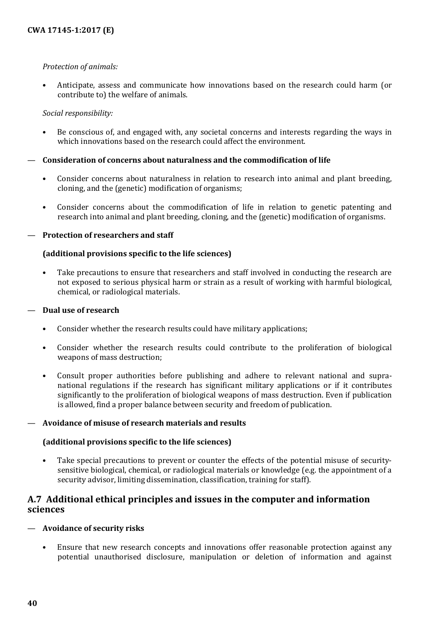#### *Protection of animals:*

• Anticipate, assess and communicate how innovations based on the research could harm (or contribute to) the welfare of animals.

#### *Social responsibility:*

• Be conscious of, and engaged with, any societal concerns and interests regarding the ways in which innovations based on the research could affect the environment.

### — **Consideration of concerns about naturalness and the commodification of life**

- Consider concerns about naturalness in relation to research into animal and plant breeding, cloning, and the (genetic) modification of organisms;
- Consider concerns about the commodification of life in relation to genetic patenting and research into animal and plant breeding, cloning, and the (genetic) modification of organisms.

#### — **Protection of researchers and staff**

#### **(additional provisions specific to the life sciences)**

• Take precautions to ensure that researchers and staff involved in conducting the research are not exposed to serious physical harm or strain as a result of working with harmful biological, chemical, or radiological materials.

#### — **Dual use of research**

- Consider whether the research results could have military applications;
- Consider whether the research results could contribute to the proliferation of biological weapons of mass destruction;
- Consult proper authorities before publishing and adhere to relevant national and supranational regulations if the research has significant military applications or if it contributes significantly to the proliferation of biological weapons of mass destruction. Even if publication is allowed, find a proper balance between security and freedom of publication.

#### — **Avoidance of misuse of research materials and results**

#### **(additional provisions specific to the life sciences)**

• Take special precautions to prevent or counter the effects of the potential misuse of securitysensitive biological, chemical, or radiological materials or knowledge (e.g. the appointment of a security advisor, limiting dissemination, classification, training for staff).

## <span id="page-39-0"></span>**A.7 Additional ethical principles and issues in the computer and information sciences**

#### — **Avoidance of security risks**

• Ensure that new research concepts and innovations offer reasonable protection against any potential unauthorised disclosure, manipulation or deletion of information and against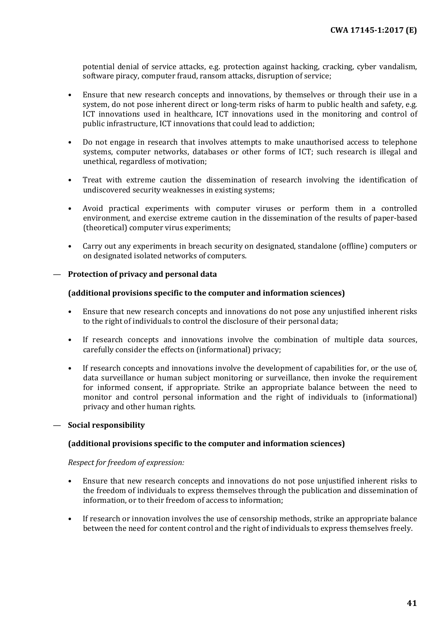potential denial of service attacks, e.g. protection against hacking, cracking, cyber vandalism, software piracy, computer fraud, ransom attacks, disruption of service;

- Ensure that new research concepts and innovations, by themselves or through their use in a system, do not pose inherent direct or long-term risks of harm to public health and safety, e.g. ICT innovations used in healthcare, ICT innovations used in the monitoring and control of public infrastructure, ICT innovations that could lead to addiction;
- Do not engage in research that involves attempts to make unauthorised access to telephone systems, computer networks, databases or other forms of ICT; such research is illegal and unethical, regardless of motivation;
- Treat with extreme caution the dissemination of research involving the identification of undiscovered security weaknesses in existing systems;
- Avoid practical experiments with computer viruses or perform them in a controlled environment, and exercise extreme caution in the dissemination of the results of paper-based (theoretical) computer virus experiments;
- Carry out any experiments in breach security on designated, standalone (offline) computers or on designated isolated networks of computers.

#### — **Protection of privacy and personal data**

#### **(additional provisions specific to the computer and information sciences)**

- Ensure that new research concepts and innovations do not pose any unjustified inherent risks to the right of individuals to control the disclosure of their personal data;
- If research concepts and innovations involve the combination of multiple data sources, carefully consider the effects on (informational) privacy;
- If research concepts and innovations involve the development of capabilities for, or the use of, data surveillance or human subject monitoring or surveillance, then invoke the requirement for informed consent, if appropriate. Strike an appropriate balance between the need to monitor and control personal information and the right of individuals to (informational) privacy and other human rights.

#### — **Social responsibility**

#### **(additional provisions specific to the computer and information sciences)**

*Respect for freedom of expression:*

- Ensure that new research concepts and innovations do not pose unjustified inherent risks to the freedom of individuals to express themselves through the publication and dissemination of information, or to their freedom of access to information;
- If research or innovation involves the use of censorship methods, strike an appropriate balance between the need for content control and the right of individuals to express themselves freely.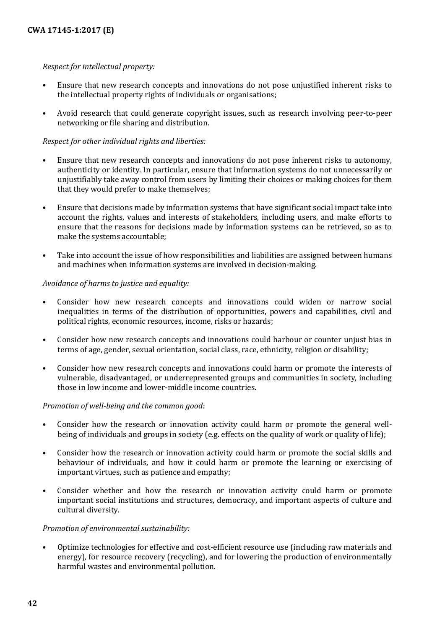#### *Respect for intellectual property:*

- Ensure that new research concepts and innovations do not pose unjustified inherent risks to the intellectual property rights of individuals or organisations;
- Avoid research that could generate copyright issues, such as research involving peer-to-peer networking or file sharing and distribution.

#### *Respect for other individual rights and liberties:*

- Ensure that new research concepts and innovations do not pose inherent risks to autonomy, authenticity or identity. In particular, ensure that information systems do not unnecessarily or unjustifiably take away control from users by limiting their choices or making choices for them that they would prefer to make themselves;
- Ensure that decisions made by information systems that have significant social impact take into account the rights, values and interests of stakeholders, including users, and make efforts to ensure that the reasons for decisions made by information systems can be retrieved, so as to make the systems accountable;
- Take into account the issue of how responsibilities and liabilities are assigned between humans and machines when information systems are involved in decision-making.

#### *Avoidance of harms to justice and equality:*

- Consider how new research concepts and innovations could widen or narrow social inequalities in terms of the distribution of opportunities, powers and capabilities, civil and political rights, economic resources, income, risks or hazards;
- Consider how new research concepts and innovations could harbour or counter unjust bias in terms of age, gender, sexual orientation, social class, race, ethnicity, religion or disability;
- Consider how new research concepts and innovations could harm or promote the interests of vulnerable, disadvantaged, or underrepresented groups and communities in society, including those in low income and lower-middle income countries.

#### *Promotion of well-being and the common good:*

- Consider how the research or innovation activity could harm or promote the general wellbeing of individuals and groups in society (e.g. effects on the quality of work or quality of life);
- Consider how the research or innovation activity could harm or promote the social skills and behaviour of individuals, and how it could harm or promote the learning or exercising of important virtues, such as patience and empathy;
- Consider whether and how the research or innovation activity could harm or promote important social institutions and structures, democracy, and important aspects of culture and cultural diversity.

#### *Promotion of environmental sustainability:*

• Optimize technologies for effective and cost-efficient resource use (including raw materials and energy), for resource recovery (recycling), and for lowering the production of environmentally harmful wastes and environmental pollution.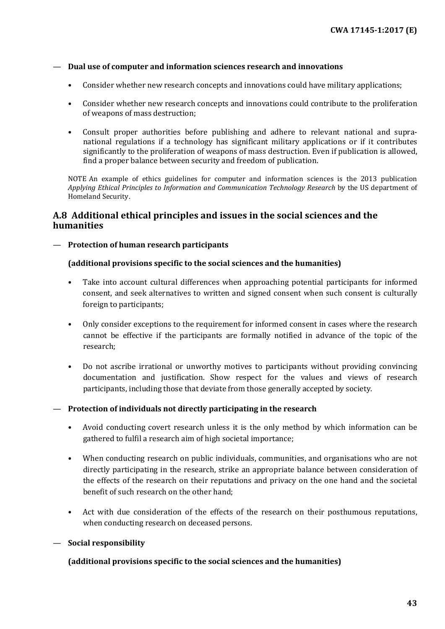#### — **Dual use of computer and information sciences research and innovations**

- Consider whether new research concepts and innovations could have military applications;
- Consider whether new research concepts and innovations could contribute to the proliferation of weapons of mass destruction;
- Consult proper authorities before publishing and adhere to relevant national and supranational regulations if a technology has significant military applications or if it contributes significantly to the proliferation of weapons of mass destruction. Even if publication is allowed, find a proper balance between security and freedom of publication.

NOTE An example of ethics guidelines for computer and information sciences is the 2013 publication *Applying Ethical Principles to Information and Communication Technology Research* by the US department of Homeland Security.

## <span id="page-42-0"></span>**A.8 Additional ethical principles and issues in the social sciences and the humanities**

#### — **Protection of human research participants**

#### **(additional provisions specific to the social sciences and the humanities)**

- Take into account cultural differences when approaching potential participants for informed consent, and seek alternatives to written and signed consent when such consent is culturally foreign to participants;
- Only consider exceptions to the requirement for informed consent in cases where the research cannot be effective if the participants are formally notified in advance of the topic of the research;
- Do not ascribe irrational or unworthy motives to participants without providing convincing documentation and justification. Show respect for the values and views of research participants, including those that deviate from those generally accepted by society.

#### — **Protection of individuals not directly participating in the research**

- Avoid conducting covert research unless it is the only method by which information can be gathered to fulfil a research aim of high societal importance;
- When conducting research on public individuals, communities, and organisations who are not directly participating in the research, strike an appropriate balance between consideration of the effects of the research on their reputations and privacy on the one hand and the societal benefit of such research on the other hand;
- Act with due consideration of the effects of the research on their posthumous reputations, when conducting research on deceased persons.

#### — **Social responsibility**

#### **(additional provisions specific to the social sciences and the humanities)**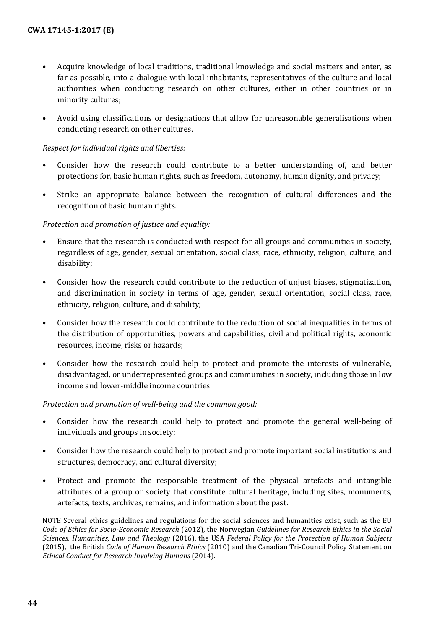- Acquire knowledge of local traditions, traditional knowledge and social matters and enter, as far as possible, into a dialogue with local inhabitants, representatives of the culture and local authorities when conducting research on other cultures, either in other countries or in minority cultures;
- Avoid using classifications or designations that allow for unreasonable generalisations when conducting research on other cultures.

#### *Respect for individual rights and liberties:*

- Consider how the research could contribute to a better understanding of, and better protections for, basic human rights, such as freedom, autonomy, human dignity, and privacy;
- Strike an appropriate balance between the recognition of cultural differences and the recognition of basic human rights.

#### *Protection and promotion of justice and equality:*

- Ensure that the research is conducted with respect for all groups and communities in society, regardless of age, gender, sexual orientation, social class, race, ethnicity, religion, culture, and disability;
- Consider how the research could contribute to the reduction of unjust biases, stigmatization, and discrimination in society in terms of age, gender, sexual orientation, social class, race, ethnicity, religion, culture, and disability;
- Consider how the research could contribute to the reduction of social inequalities in terms of the distribution of opportunities, powers and capabilities, civil and political rights, economic resources, income, risks or hazards;
- Consider how the research could help to protect and promote the interests of vulnerable, disadvantaged, or underrepresented groups and communities in society, including those in low income and lower-middle income countries.

#### *Protection and promotion of well-being and the common good:*

- Consider how the research could help to protect and promote the general well-being of individuals and groups in society;
- Consider how the research could help to protect and promote important social institutions and structures, democracy, and cultural diversity;
- Protect and promote the responsible treatment of the physical artefacts and intangible attributes of a group or society that constitute cultural heritage, including sites, monuments, artefacts, texts, archives, remains, and information about the past.

NOTE Several ethics guidelines and regulations for the social sciences and humanities exist, such as the EU *Code of Ethics for Socio-Economic Research* (2012), the Norwegian *Guidelines for Research Ethics in the Social Sciences, Humanities, Law and Theology* (2016), the USA *Federal Policy for the Protection of Human Subjects* (2015), the British *Code of Human Research Ethics* (2010) and the Canadian Tri-Council Policy Statement on *Ethical Conduct for Research Involving Humans* (2014).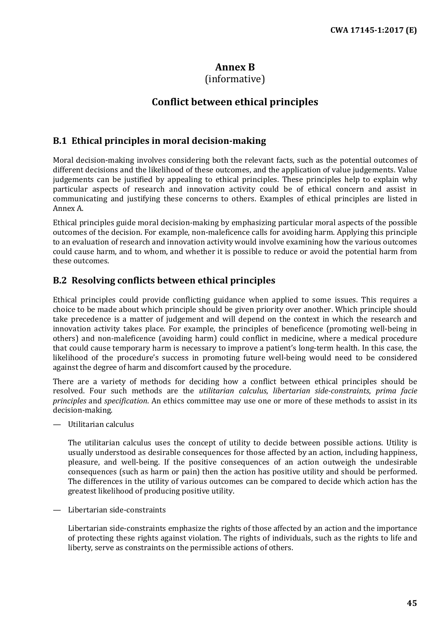## **Annex B**

## (informative)

## **Conflict between ethical principles**

## <span id="page-44-1"></span><span id="page-44-0"></span>**B.1 Ethical principles in moral decision-making**

Moral decision-making involves considering both the relevant facts, such as the potential outcomes of different decisions and the likelihood of these outcomes, and the application of value judgements. Value judgements can be justified by appealing to ethical principles. These principles help to explain why particular aspects of research and innovation activity could be of ethical concern and assist in communicating and justifying these concerns to others. Examples of ethical principles are listed in Annex A.

Ethical principles guide moral decision-making by emphasizing particular moral aspects of the possible outcomes of the decision. For example, non-maleficence calls for avoiding harm. Applying this principle to an evaluation of research and innovation activity would involve examining how the various outcomes could cause harm, and to whom, and whether it is possible to reduce or avoid the potential harm from these outcomes.

## <span id="page-44-2"></span>**B.2 Resolving conflicts between ethical principles**

Ethical principles could provide conflicting guidance when applied to some issues. This requires a choice to be made about which principle should be given priority over another. Which principle should take precedence is a matter of judgement and will depend on the context in which the research and innovation activity takes place. For example, the principles of beneficence (promoting well-being in others) and non-maleficence (avoiding harm) could conflict in medicine, where a medical procedure that could cause temporary harm is necessary to improve a patient's long-term health. In this case, the likelihood of the procedure's success in promoting future well-being would need to be considered against the degree of harm and discomfort caused by the procedure.

There are a variety of methods for deciding how a conflict between ethical principles should be resolved. Four such methods are the *utilitarian calculus*, *libertarian side-constraints*, *prima facie principles* and *specification*. An ethics committee may use one or more of these methods to assist in its decision-making.

— Utilitarian calculus

The utilitarian calculus uses the concept of utility to decide between possible actions. Utility is usually understood as desirable consequences for those affected by an action, including happiness, pleasure, and well-being. If the positive consequences of an action outweigh the undesirable consequences (such as harm or pain) then the action has positive utility and should be performed. The differences in the utility of various outcomes can be compared to decide which action has the greatest likelihood of producing positive utility.

— Libertarian side-constraints

Libertarian side-constraints emphasize the rights of those affected by an action and the importance of protecting these rights against violation. The rights of individuals, such as the rights to life and liberty, serve as constraints on the permissible actions of others.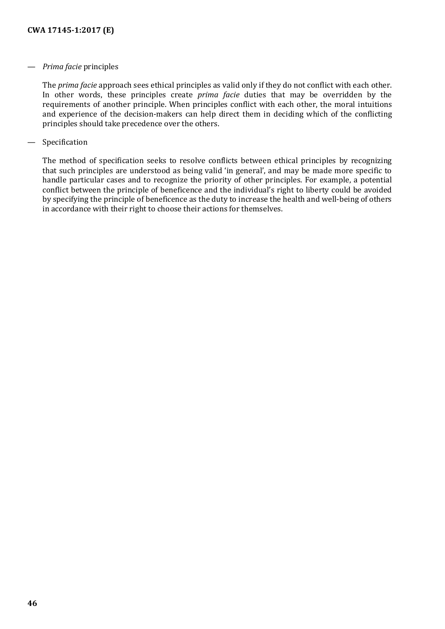#### — *Prima facie* principles

The *prima facie* approach sees ethical principles as valid only if they do not conflict with each other. In other words, these principles create *prima facie* duties that may be overridden by the requirements of another principle. When principles conflict with each other, the moral intuitions and experience of the decision-makers can help direct them in deciding which of the conflicting principles should take precedence over the others.

#### — Specification

The method of specification seeks to resolve conflicts between ethical principles by recognizing that such principles are understood as being valid 'in general', and may be made more specific to handle particular cases and to recognize the priority of other principles. For example, a potential conflict between the principle of beneficence and the individual's right to liberty could be avoided by specifying the principle of beneficence as the duty to increase the health and well-being of others in accordance with their right to choose their actions for themselves.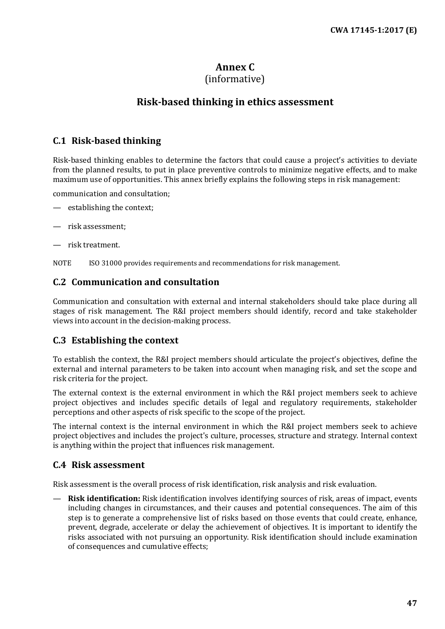## **Annex C**

## (informative)

## **Risk-based thinking in ethics assessment**

## <span id="page-46-1"></span><span id="page-46-0"></span>**C.1 Risk-based thinking**

Risk-based thinking enables to determine the factors that could cause a project's activities to deviate from the planned results, to put in place preventive controls to minimize negative effects, and to make maximum use of opportunities. This annex briefly explains the following steps in risk management:

communication and consultation;

- establishing the context;
- risk assessment;
- risk treatment.

NOTE ISO 31000 provides requirements and recommendations for risk management.

## <span id="page-46-2"></span>**C.2 Communication and consultation**

Communication and consultation with external and internal stakeholders should take place during all stages of risk management. The R&I project members should identify, record and take stakeholder views into account in the decision-making process.

## <span id="page-46-3"></span>**C.3 Establishing the context**

To establish the context, the R&I project members should articulate the project's objectives, define the external and internal parameters to be taken into account when managing risk, and set the scope and risk criteria for the project.

The external context is the external environment in which the R&I project members seek to achieve project objectives and includes specific details of legal and regulatory requirements, stakeholder perceptions and other aspects of risk specific to the scope of the project.

The internal context is the internal environment in which the R&I project members seek to achieve project objectives and includes the project's culture, processes, structure and strategy. Internal context is anything within the project that influences risk management.

## <span id="page-46-4"></span>**C.4 Risk assessment**

Risk assessment is the overall process of risk identification, risk analysis and risk evaluation.

— **Risk identification:** Risk identification involves identifying sources of risk, areas of impact, events including changes in circumstances, and their causes and potential consequences. The aim of this step is to generate a comprehensive list of risks based on those events that could create, enhance, prevent, degrade, accelerate or delay the achievement of objectives. It is important to identify the risks associated with not pursuing an opportunity. Risk identification should include examination of consequences and cumulative effects;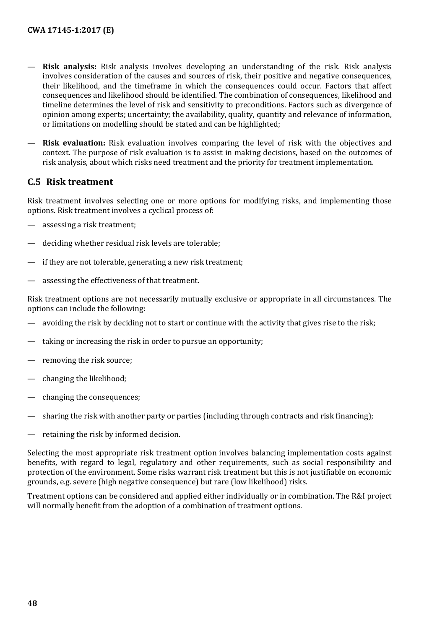- **Risk analysis:** Risk analysis involves developing an understanding of the risk. Risk analysis involves consideration of the causes and sources of risk, their positive and negative consequences, their likelihood, and the timeframe in which the consequences could occur. Factors that affect consequences and likelihood should be identified. The combination of consequences, likelihood and timeline determines the level of risk and sensitivity to preconditions. Factors such as divergence of opinion among experts; uncertainty; the availability, quality, quantity and relevance of information, or limitations on modelling should be stated and can be highlighted;
- **Risk evaluation:** Risk evaluation involves comparing the level of risk with the objectives and context. The purpose of risk evaluation is to assist in making decisions, based on the outcomes of risk analysis, about which risks need treatment and the priority for treatment implementation.

## <span id="page-47-0"></span>**C.5 Risk treatment**

Risk treatment involves selecting one or more options for modifying risks, and implementing those options. Risk treatment involves a cyclical process of:

- assessing a risk treatment;
- deciding whether residual risk levels are tolerable;
- if they are not tolerable, generating a new risk treatment;
- assessing the effectiveness of that treatment.

Risk treatment options are not necessarily mutually exclusive or appropriate in all circumstances. The options can include the following:

- avoiding the risk by deciding not to start or continue with the activity that gives rise to the risk;
- taking or increasing the risk in order to pursue an opportunity;
- removing the risk source;
- changing the likelihood;
- changing the consequences;
- sharing the risk with another party or parties (including through contracts and risk financing);
- retaining the risk by informed decision.

Selecting the most appropriate risk treatment option involves balancing implementation costs against benefits, with regard to legal, regulatory and other requirements, such as social responsibility and protection of the environment. Some risks warrant risk treatment but this is not justifiable on economic grounds, e.g. severe (high negative consequence) but rare (low likelihood) risks.

Treatment options can be considered and applied either individually or in combination. The R&I project will normally benefit from the adoption of a combination of treatment options.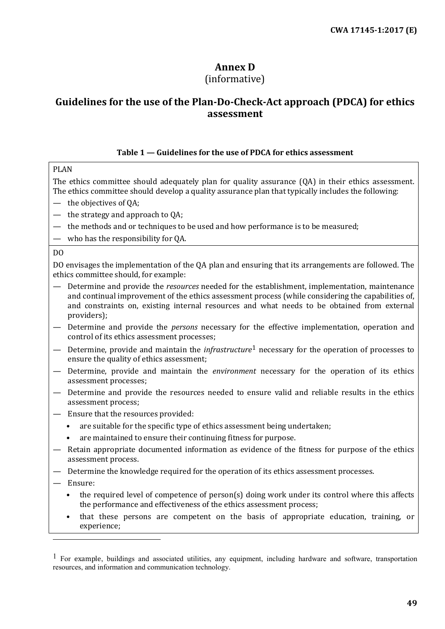## **Annex D**

## (informative)

## <span id="page-48-0"></span>**Guidelines for the use of the Plan-Do-Check-Act approach (PDCA) for ethics assessment**

### **Table 1 — Guidelines for the use of PDCA for ethics assessment**

#### PLAN

The ethics committee should adequately plan for quality assurance (QA) in their ethics assessment. The ethics committee should develop a quality assurance plan that typically includes the following:

- the objectives of QA;
- the strategy and approach to QA;
- the methods and or techniques to be used and how performance is to be measured;
- who has the responsibility for QA.

#### DO

DO envisages the implementation of the QA plan and ensuring that its arrangements are followed. The ethics committee should, for example:

- Determine and provide the *resources* needed for the establishment, implementation, maintenance and continual improvement of the ethics assessment process (while considering the capabilities of, and constraints on, existing internal resources and what needs to be obtained from external providers);
- Determine and provide the *persons* necessary for the effective implementation, operation and control of its ethics assessment processes;
- Determine, provide and maintain the *infrastructure*[1](#page-48-1) necessary for the operation of processes to ensure the quality of ethics assessment;
- Determine, provide and maintain the *environment* necessary for the operation of its ethics assessment processes;
- Determine and provide the resources needed to ensure valid and reliable results in the ethics assessment process;
- Ensure that the resources provided:
	- are suitable for the specific type of ethics assessment being undertaken;
	- are maintained to ensure their continuing fitness for purpose.
- Retain appropriate documented information as evidence of the fitness for purpose of the ethics assessment process.
- Determine the knowledge required for the operation of its ethics assessment processes.
- Ensure:

I

- the required level of competence of person(s) doing work under its control where this affects the performance and effectiveness of the ethics assessment process;
- that these persons are competent on the basis of appropriate education, training, or experience;

<span id="page-48-1"></span> $<sup>1</sup>$  For example, buildings and associated utilities, any equipment, including hardware and software, transportation</sup> resources, and information and communication technology.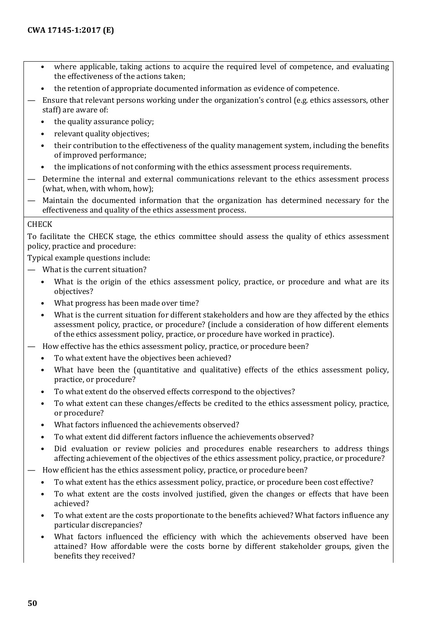- where applicable, taking actions to acquire the required level of competence, and evaluating the effectiveness of the actions taken;
- the retention of appropriate documented information as evidence of competence.
- Ensure that relevant persons working under the organization's control (e.g. ethics assessors, other staff) are aware of:
	- the quality assurance policy;
	- relevant quality objectives;
	- their contribution to the effectiveness of the quality management system, including the benefits of improved performance;
	- the implications of not conforming with the ethics assessment process requirements.
- Determine the internal and external communications relevant to the ethics assessment process (what, when, with whom, how);
- Maintain the documented information that the organization has determined necessary for the effectiveness and quality of the ethics assessment process.

#### CHECK

To facilitate the CHECK stage, the ethics committee should assess the quality of ethics assessment policy, practice and procedure:

Typical example questions include:

- What is the current situation?
	- What is the origin of the ethics assessment policy, practice, or procedure and what are its objectives?
	- What progress has been made over time?
	- What is the current situation for different stakeholders and how are they affected by the ethics assessment policy, practice, or procedure? (include a consideration of how different elements of the ethics assessment policy, practice, or procedure have worked in practice).
- How effective has the ethics assessment policy, practice, or procedure been?
	- To what extent have the objectives been achieved?
	- What have been the (quantitative and qualitative) effects of the ethics assessment policy, practice, or procedure?
	- To what extent do the observed effects correspond to the objectives?
	- To what extent can these changes/effects be credited to the ethics assessment policy, practice, or procedure?
	- What factors influenced the achievements observed?
	- To what extent did different factors influence the achievements observed?
	- Did evaluation or review policies and procedures enable researchers to address things affecting achievement of the objectives of the ethics assessment policy, practice, or procedure?
	- How efficient has the ethics assessment policy, practice, or procedure been?
	- To what extent has the ethics assessment policy, practice, or procedure been cost effective?
	- To what extent are the costs involved justified, given the changes or effects that have been achieved?
	- To what extent are the costs proportionate to the benefits achieved? What factors influence any particular discrepancies?
	- What factors influenced the efficiency with which the achievements observed have been attained? How affordable were the costs borne by different stakeholder groups, given the benefits they received?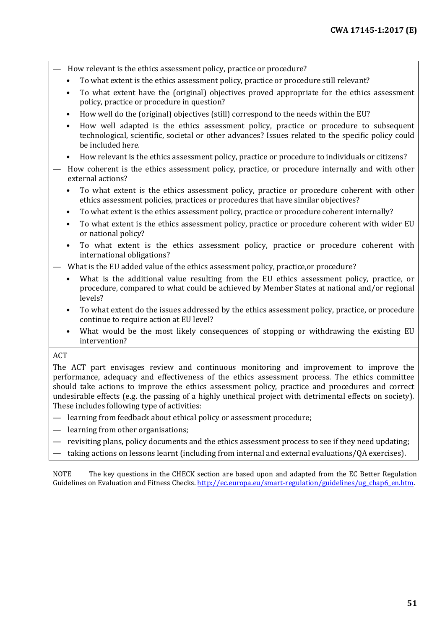- How relevant is the ethics assessment policy, practice or procedure?
	- To what extent is the ethics assessment policy, practice or procedure still relevant?
	- To what extent have the (original) objectives proved appropriate for the ethics assessment policy, practice or procedure in question?
	- How well do the (original) objectives (still) correspond to the needs within the EU?
	- How well adapted is the ethics assessment policy, practice or procedure to subsequent technological, scientific, societal or other advances? Issues related to the specific policy could be included here.
	- How relevant is the ethics assessment policy, practice or procedure to individuals or citizens?
- How coherent is the ethics assessment policy, practice, or procedure internally and with other external actions?
	- To what extent is the ethics assessment policy, practice or procedure coherent with other ethics assessment policies, practices or procedures that have similar objectives?
	- To what extent is the ethics assessment policy, practice or procedure coherent internally?
	- To what extent is the ethics assessment policy, practice or procedure coherent with wider EU or national policy?
	- To what extent is the ethics assessment policy, practice or procedure coherent with international obligations?
- What is the EU added value of the ethics assessment policy, practice,or procedure?
	- What is the additional value resulting from the EU ethics assessment policy, practice, or procedure, compared to what could be achieved by Member States at national and/or regional levels?
	- To what extent do the issues addressed by the ethics assessment policy, practice, or procedure continue to require action at EU level?
	- What would be the most likely consequences of stopping or withdrawing the existing EU intervention?

## ACT

The ACT part envisages review and continuous monitoring and improvement to improve the performance, adequacy and effectiveness of the ethics assessment process. The ethics committee should take actions to improve the ethics assessment policy, practice and procedures and correct undesirable effects (e.g. the passing of a highly unethical project with detrimental effects on society). These includes following type of activities:

- learning from feedback about ethical policy or assessment procedure;
- learning from other organisations;
- revisiting plans, policy documents and the ethics assessment process to see if they need updating;
- taking actions on lessons learnt (including from internal and external evaluations/QA exercises).

NOTE The key questions in the CHECK section are based upon and adapted from the EC Better Regulation Guidelines on Evaluation and Fitness Checks[. http://ec.europa.eu/smart-regulation/guidelines/ug\\_chap6\\_en.htm.](http://ec.europa.eu/smart-regulation/guidelines/ug_chap6_en.htm)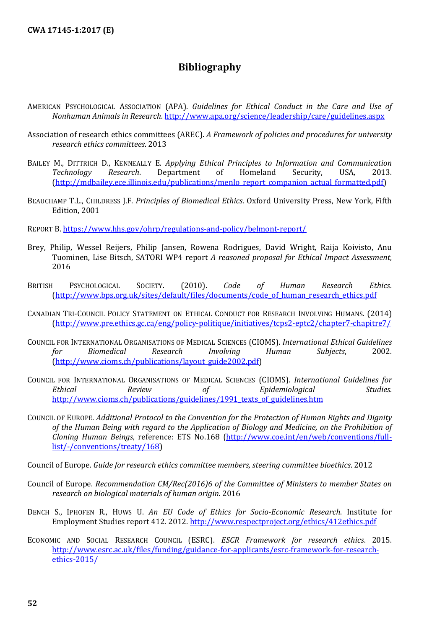## **Bibliography**

- <span id="page-51-0"></span>AMERICAN PSYCHOLOGICAL ASSOCIATION (APA). *Guidelines for Ethical Conduct in the Care and Use of Nonhuman Animals in Research*[. http://www.apa.org/science/leadership/care/guidelines.aspx](http://www.apa.org/science/leadership/care/guidelines.aspx)
- Association of research ethics committees (AREC). *A Framework of policies and procedures for university research ethics committees*. 2013
- BAILEY M., DITTRICH D., KENNEALLY E. *Applying Ethical Principles to Information and Communication*<br> *Technology Research*. Department of Homeland Security, USA, 2013. *Technology Research*. Department of Homeland Security, USA, 2013. [\(http://mdbailey.ece.illinois.edu/publications/menlo\\_report\\_companion\\_actual\\_formatted.pdf\)](http://mdbailey.ece.illinois.edu/publications/menlo_report_companion_actual_formatted.pdf)
- BEAUCHAMP T.L., CHILDRESS J.F. *Principles of Biomedical Ethics*. Oxford University Press, New York, Fifth Edition, 2001

REPORT B. <https://www.hhs.gov/ohrp/regulations-and-policy/belmont-report/>

- Brey, Philip, Wessel Reijers, Philip Jansen, Rowena Rodrigues, David Wright, Raija Koivisto, Anu Tuominen, Lise Bitsch, SATORI WP4 report *A reasoned proposal for Ethical Impact Assessment*, 2016
- BRITISH PSYCHOLOGICAL SOCIETY. (2010). *Code of Human Research Ethics*. [\(http://www.bps.org.uk/sites/default/files/documents/code\\_of\\_human\\_research\\_ethics.pdf](http://www.bps.org.uk/sites/default/files/documents/code_of_human_research_ethics.pdf)
- CANADIAN TRI-COUNCIL POLICY STATEMENT ON ETHICAL CONDUCT FOR RESEARCH INVOLVING HUMANS. (2014) [\(http://www.pre.ethics.gc.ca/eng/policy-politique/initiatives/tcps2-eptc2/chapter7-chapitre7/](http://www.pre.ethics.gc.ca/eng/policy-politique/initiatives/tcps2-eptc2/chapter7-chapitre7/)
- COUNCIL FOR INTERNATIONAL ORGANISATIONS OF MEDICAL SCIENCES (CIOMS). *International Ethical Guidelines for Biomedical Research Involving Human Subjects*, 2002. [\(http://www.cioms.ch/publications/layout\\_guide2002.pdf\)](http://www.cioms.ch/publications/layout_guide2002.pdf)
- COUNCIL FOR INTERNATIONAL ORGANISATIONS OF MEDICAL SCIENCES (CIOMS). *International Guidelines for Ethical Review of Epidemiological Studies*. [http://www.cioms.ch/publications/guidelines/1991\\_texts\\_of\\_guidelines.htm](http://www.cioms.ch/publications/guidelines/1991_texts_of_guidelines.htm)
- COUNCIL OF EUROPE. *Additional Protocol to the Convention for the Protection of Human Rights and Dignity of the Human Being with regard to the Application of Biology and Medicine, on the Prohibition of Cloning Human Beings*, reference: ETS No.168 [\(http://www.coe.int/en/web/conventions/full](http://www.coe.int/en/web/conventions/full-list/-/conventions/treaty/168)[list/-/conventions/treaty/168\)](http://www.coe.int/en/web/conventions/full-list/-/conventions/treaty/168)
- Council of Europe. *Guide for research ethics committee members, steering committee bioethics*. 2012
- Council of Europe. *Recommendation CM/Rec(2016)6 of the Committee of Ministers to member States on research on biological materials of human origin.* 2016
- DENCH S., IPHOFEN R., HUWS U. *An EU Code of Ethics for Socio-Economic Research*. Institute for Employment Studies report 412. 2012.<http://www.respectproject.org/ethics/412ethics.pdf>
- ECONOMIC AND SOCIAL RESEARCH COUNCIL (ESRC). *ESCR Framework for research ethics*. 2015. [http://www.esrc.ac.uk/files/funding/guidance-for-applicants/esrc-framework-for-research](http://www.esrc.ac.uk/files/funding/guidance-for-applicants/esrc-framework-for-research-ethics-2015/)[ethics-2015/](http://www.esrc.ac.uk/files/funding/guidance-for-applicants/esrc-framework-for-research-ethics-2015/)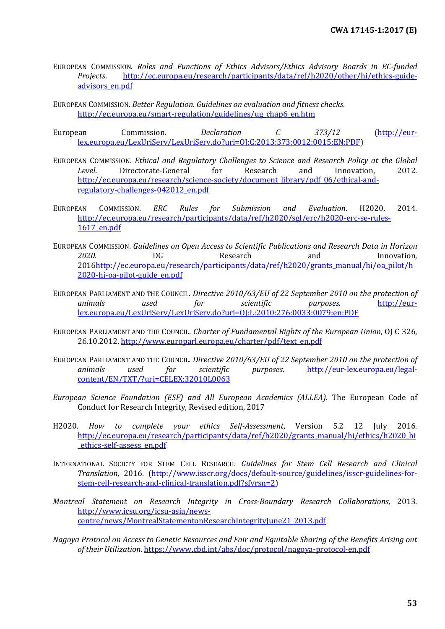- EUROPEAN COMMISSION. *Roles and Functions of Ethics Advisors/Ethics Advisory Boards in EC-funded Projects*. [http://ec.europa.eu/research/participants/data/ref/h2020/other/hi/ethics-guide](http://ec.europa.eu/research/participants/data/ref/h2020/other/hi/ethics-guide-advisors_en.pdf)[advisors\\_en.pdf](http://ec.europa.eu/research/participants/data/ref/h2020/other/hi/ethics-guide-advisors_en.pdf)
- EUROPEAN COMMISSION. *Better Regulation. Guidelines on evaluation and fitness checks*. [http://ec.europa.eu/smart-regulation/guidelines/ug\\_chap6\\_en.htm](http://ec.europa.eu/smart-regulation/guidelines/ug_chap6_en.htm)
- European Commission. *Declaration C 373/12* [\(http://eur](http://eur-lex.europa.eu/LexUriServ/LexUriServ.do?uri=OJ:C:2013:373:0012:0015:EN:PDF)[lex.europa.eu/LexUriServ/LexUriServ.do?uri=OJ:C:2013:373:0012:0015:EN:PDF\)](http://eur-lex.europa.eu/LexUriServ/LexUriServ.do?uri=OJ:C:2013:373:0012:0015:EN:PDF)
- EUROPEAN COMMISSION. *Ethical and Regulatory Challenges to Science and Research Policy at the Global Level*. Directorate-General for Research and Innovation, 2012. [http://ec.europa.eu/research/science-society/document\\_library/pdf\\_06/ethical-and](http://ec.europa.eu/research/science-society/document_library/pdf_06/ethical-and-regulatory-challenges-042012_en.pdf)[regulatory-challenges-042012\\_en.pdf](http://ec.europa.eu/research/science-society/document_library/pdf_06/ethical-and-regulatory-challenges-042012_en.pdf)
- EUROPEAN COMMISSION. *ERC Rules for Submission and Evaluation*. H2020, 2014. [http://ec.europa.eu/research/participants/data/ref/h2020/sgl/erc/h2020-erc-se-rules-](http://ec.europa.eu/research/participants/data/ref/h2020/sgl/erc/h2020-erc-se-rules-1617_en.pdf)[1617\\_en.pdf](http://ec.europa.eu/research/participants/data/ref/h2020/sgl/erc/h2020-erc-se-rules-1617_en.pdf)
- EUROPEAN COMMISSION. *Guidelines on Open Access to Scientific Publications and Research Data in Horizon*  2020. DG Besearch and Innovation, 201[6http://ec.europa.eu/research/participants/data/ref/h2020/grants\\_manual/hi/oa\\_pilot/h](http://ec.europa.eu/research/participants/data/ref/h2020/grants_manual/hi/oa_pilot/h2020-hi-oa-pilot-guide_en.pdf) [2020-hi-oa-pilot-guide\\_en.pdf](http://ec.europa.eu/research/participants/data/ref/h2020/grants_manual/hi/oa_pilot/h2020-hi-oa-pilot-guide_en.pdf)
- EUROPEAN PARLIAMENT AND THE COUNCIL. *Directive 2010/63/EU of 22 September 2010 on the protection of animals used for scientific purposes*. [http://eur](http://eur-lex.europa.eu/LexUriServ/LexUriServ.do?uri=OJ:L:2010:276:0033:0079:en:PDF)[lex.europa.eu/LexUriServ/LexUriServ.do?uri=OJ:L:2010:276:0033:0079:en:PDF](http://eur-lex.europa.eu/LexUriServ/LexUriServ.do?uri=OJ:L:2010:276:0033:0079:en:PDF)
- EUROPEAN PARLIAMENT AND THE COUNCIL. *Charter of Fundamental Rights of the European Union*, OJ C 326, 26.10.2012. [http://www.europarl.europa.eu/charter/pdf/text\\_en.pdf](http://www.europarl.europa.eu/charter/pdf/text_en.pdf)
- EUROPEAN PARLIAMENT AND THE COUNCIL. *Directive 2010/63/EU of 22 September 2010 on the protection of animals used for scientific purposes*. [http://eur-lex.europa.eu/legal](http://eur-lex.europa.eu/legal-content/EN/TXT/?uri=CELEX:32010L0063)[content/EN/TXT/?uri=CELEX:32010L0063](http://eur-lex.europa.eu/legal-content/EN/TXT/?uri=CELEX:32010L0063)
- *European Science Foundation (ESF) and All European Academics (ALLEA)*. The European Code of Conduct for Research Integrity, Revised edition, 2017
- H2020. *How to complete your ethics Self-Assessment*, Version 5.2 12 July 2016. [http://ec.europa.eu/research/participants/data/ref/h2020/grants\\_manual/hi/ethics/h2020\\_hi](http://ec.europa.eu/research/participants/data/ref/h2020/grants_manual/hi/ethics/h2020_hi_ethics-self-assess_en.pdf) [\\_ethics-self-assess\\_en.pdf](http://ec.europa.eu/research/participants/data/ref/h2020/grants_manual/hi/ethics/h2020_hi_ethics-self-assess_en.pdf)
- INTERNATIONAL SOCIETY FOR STEM CELL RESEARCH. *Guidelines for Stem Cell Research and Clinical Translation*, 2016. [\(http://www.isscr.org/docs/default-source/guidelines/isscr-guidelines-for](http://www.isscr.org/docs/default-source/guidelines/isscr-guidelines-for-stem-cell-research-and-clinical-translation.pdf?sfvrsn=2)[stem-cell-research-and-clinical-translation.pdf?sfvrsn=2\)](http://www.isscr.org/docs/default-source/guidelines/isscr-guidelines-for-stem-cell-research-and-clinical-translation.pdf?sfvrsn=2)
- *Montreal Statement on Research Integrity in Cross-Boundary Research Collaborations*, 2013. [http://www.icsu.org/icsu-asia/news](http://www.icsu.org/icsu-asia/news-centre/news/MontrealStatementonResearchIntegrityJune21_2013.pdf)[centre/news/MontrealStatementonResearchIntegrityJune21\\_2013.pdf](http://www.icsu.org/icsu-asia/news-centre/news/MontrealStatementonResearchIntegrityJune21_2013.pdf)
- *Nagoya Protocol on Access to Genetic Resources and Fair and Equitable Sharing of the Benefits Arising out of their Utilization*.<https://www.cbd.int/abs/doc/protocol/nagoya-protocol-en.pdf>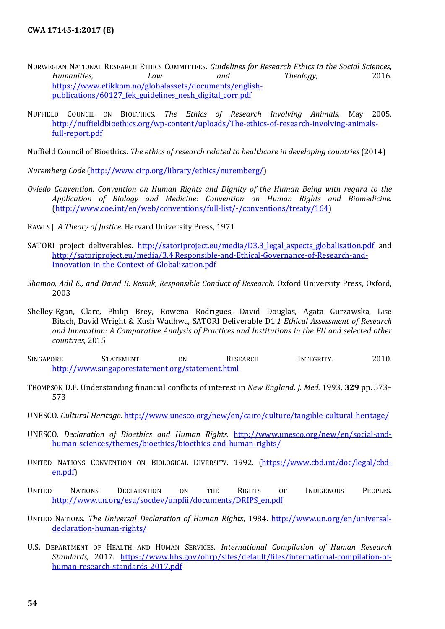- NORWEGIAN NATIONAL RESEARCH ETHICS COMMITTEES. *Guidelines for Research Ethics in the Social Sciences, Humanities, Law and Theology*, 2016. [https://www.etikkom.no/globalassets/documents/english](https://www.etikkom.no/globalassets/documents/english-publications/60127_fek_guidelines_nesh_digital_corr.pdf)publications/60127 fek\_guidelines\_nesh\_digital\_corr.pdf
- NUFFIELD COUNCIL ON BIOETHICS. *The Ethics of Research Involving Animals*, May 2005. [http://nuffieldbioethics.org/wp-content/uploads/The-ethics-of-research-involving-animals](http://nuffieldbioethics.org/wp-content/uploads/The-ethics-of-research-involving-animals-full-report.pdf)[full-report.pdf](http://nuffieldbioethics.org/wp-content/uploads/The-ethics-of-research-involving-animals-full-report.pdf)

Nuffield Council of Bioethics. *The ethics of research related to healthcare in developing countries* (2014)

*Nuremberg Code* [\(http://www.cirp.org/library/ethics/nuremberg/\)](http://www.cirp.org/library/ethics/nuremberg/)

- *Oviedo Convention. Convention on Human Rights and Dignity of the Human Being with regard to the Application of Biology and Medicine: Convention on Human Rights and Biomedicine*. [\(http://www.coe.int/en/web/conventions/full-list/-/conventions/treaty/164\)](http://www.coe.int/en/web/conventions/full-list/-/conventions/treaty/164)
- RAWLS J. *A Theory of Justice*. Harvard University Press, 1971
- SATORI project deliverables. http://satoriproject.eu/media/D3.3 legal aspects globalisation.pdf and [http://satoriproject.eu/media/3.4.Responsible-and-Ethical-Governance-of-Research-and-](http://satoriproject.eu/media/3.4.Responsible-and-Ethical-Governance-of-Research-and-Innovation-in-the-Context-of-Globalization.pdf)[Innovation-in-the-Context-of-Globalization.pdf](http://satoriproject.eu/media/3.4.Responsible-and-Ethical-Governance-of-Research-and-Innovation-in-the-Context-of-Globalization.pdf)
- *Shamoo, Adil E., and David B. Resnik, Responsible Conduct of Research*. Oxford University Press, Oxford, 2003
- Shelley-Egan, Clare, Philip Brey, Rowena Rodrigues, David Douglas, Agata Gurzawska, Lise Bitsch, David Wright & Kush Wadhwa, SATORI Deliverable D1.*1 Ethical Assessment of Research and Innovation: A Comparative Analysis of Practices and Institutions in the EU and selected other countries*, 2015
- SINGAPORE STATEMENT ON RESEARCH INTEGRITY. 2010. <http://www.singaporestatement.org/statement.html>
- THOMPSON D.F. Understanding financial conflicts of interest in *New England*. *J. Med.* 1993, **329** pp. 573– 573
- UNESCO. *Cultural Heritage*.<http://www.unesco.org/new/en/cairo/culture/tangible-cultural-heritage/>
- UNESCO. *Declaration of Bioethics and Human Rights*. [http://www.unesco.org/new/en/social-and](http://www.unesco.org/new/en/social-and-human-sciences/themes/bioethics/bioethics-and-human-rights/)[human-sciences/themes/bioethics/bioethics-and-human-rights/](http://www.unesco.org/new/en/social-and-human-sciences/themes/bioethics/bioethics-and-human-rights/)
- UNITED NATIONS CONVENTION ON BIOLOGICAL DIVERSITY. 1992. [\(https://www.cbd.int/doc/legal/cbd](https://www.cbd.int/doc/legal/cbd-en.pdf)[en.pdf\)](https://www.cbd.int/doc/legal/cbd-en.pdf)
- UNITED NATIONS DECLARATION ON THE RIGHTS OF INDIGENOUS PEOPLES. [http://www.un.org/esa/socdev/unpfii/documents/DRIPS\\_en.pdf](http://www.un.org/esa/socdev/unpfii/documents/DRIPS_en.pdf)
- UNITED NATIONS. *The Universal Declaration of Human Rights*, 1984. [http://www.un.org/en/universal](http://www.un.org/en/universal-declaration-human-rights/)[declaration-human-rights/](http://www.un.org/en/universal-declaration-human-rights/)
- U.S. DEPARTMENT OF HEALTH AND HUMAN SERVICES. *International Compilation of Human Research Standards*, 2017. [https://www.hhs.gov/ohrp/sites/default/files/international-compilation-of](https://www.hhs.gov/ohrp/sites/default/files/international-compilation-of-human-research-standards-2017.pdf)[human-research-standards-2017.pdf](https://www.hhs.gov/ohrp/sites/default/files/international-compilation-of-human-research-standards-2017.pdf)